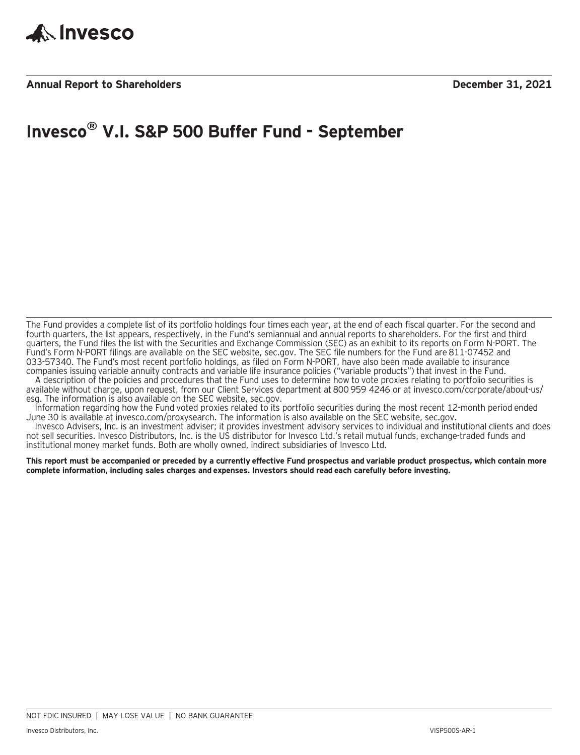

### **Annual Report to Shareholders December 31, 2021**

# **Invesco® V.I. S&P 500 Buffer Fund - September**

The Fund provides a complete list of its portfolio holdings four times each year, at the end of each fiscal quarter. For the second and fourth quarters, the list appears, respectively, in the Fund's semiannual and annual reports to shareholders. For the first and third quarters, the Fund files the list with the Securities and Exchange Commission (SEC) as an exhibit to its reports on Form N-PORT. The Fund's Form N-PORT filings are available on the SEC website, sec.gov. The SEC file numbers for the Fund are 811-07452 and 033-57340. The Fund's most recent portfolio holdings, as filed on Form N-PORT, have also been made available to insurance companies issuing variable annuity contracts and variable life insurance policies ("variable products") that invest in the Fund.

A description of the policies and procedures that the Fund uses to determine how to vote proxies relating to portfolio securities is available without charge, upon request, from our Client Services department at 800 959 4246 or at invesco.com/corporate/about-us/ esg. The information is also available on the SEC website, sec.gov.

Information regarding how the Fund voted proxies related to its portfolio securities during the most recent 12-month period ended June 30 is available at invesco.com/proxysearch. The information is also available on the SEC website, sec.gov.

Invesco Advisers, Inc. is an investment adviser; it provides investment advisory services to individual and institutional clients and does not sell securities. Invesco Distributors, Inc. is the US distributor for Invesco Ltd.'s retail mutual funds, exchange-traded funds and institutional money market funds. Both are wholly owned, indirect subsidiaries of Invesco Ltd.

**This report must be accompanied or preceded by a currently effective Fund prospectus and variable product prospectus, which contain more complete information, including sales charges and expenses. Investors should read each carefully before investing.**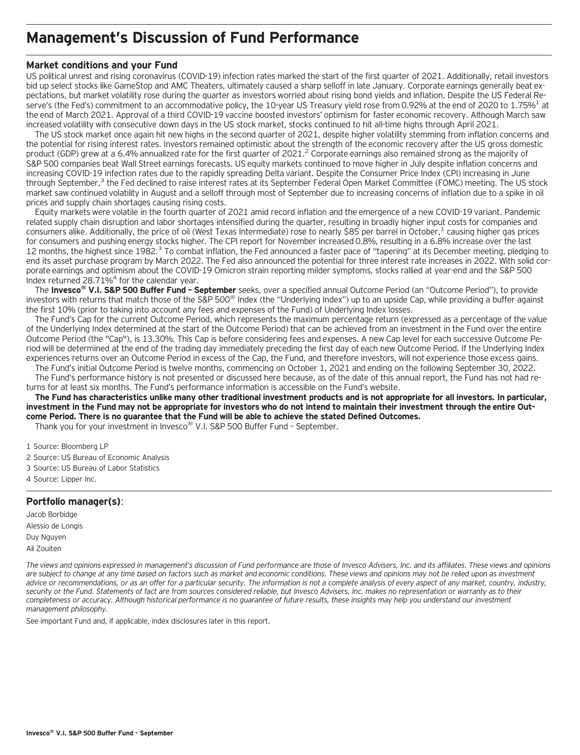### **Management's Discussion of Fund Performance**

### **Market conditions and your Fund**

US political unrest and rising coronavirus (COVID-19) infection rates marked the start of the first quarter of 2021. Additionally, retail investors bid up select stocks like GameStop and AMC Theaters, ultimately caused a sharp selloff in late January. Corporate earnings generally beat expectations, but market volatility rose during the quarter as investors worried about rising bond yields and inflation. Despite the US Federal Reserve's (the Fed's) commitment to an accommodative policy, the 10-year US Treasury yield rose from 0.92% at the end of 2020 to 1.75%<sup>1</sup> at the end of March 2021. Approval of a third COVID-19 vaccine boosted investors' optimism for faster economic recovery. Although March saw increased volatility with consecutive down days in the US stock market, stocks continued to hit all-time highs through April 2021.

The US stock market once again hit new highs in the second quarter of 2021, despite higher volatility stemming from inflation concerns and the potential for rising interest rates. Investors remained optimistic about the strength of the economic recovery after the US gross domestic product (GDP) grew at a 6.4% annualized rate for the first quarter of 2021.<sup>2</sup> Corporate earnings also remained strong as the majority of S&P 500 companies beat Wall Street earnings forecasts. US equity markets continued to move higher in July despite inflation concerns and increasing COVID-19 infection rates due to the rapidly spreading Delta variant. Despite the Consumer Price Index (CPI) increasing in June through September,<sup>3</sup> the Fed declined to raise interest rates at its September Federal Open Market Committee (FOMC) meeting. The US stock market saw continued volatility in August and a selloff through most of September due to increasing concerns of inflation due to a spike in oil prices and supply chain shortages causing rising costs.

Equity markets were volatile in the fourth quarter of 2021 amid record inflation and the emergence of a new COVID-19 variant. Pandemic related supply chain disruption and labor shortages intensified during the quarter, resulting in broadly higher input costs for companies and consumers alike. Additionally, the price of oil (West Texas Intermediate) rose to nearly \$85 per barrel in October,<sup>1</sup> causing higher gas prices for consumers and pushing energy stocks higher. The CPI report for November increased 0.8%, resulting in a 6.8% increase over the last 12 months, the highest since 1982.<sup>3</sup> To combat inflation, the Fed announced a faster pace of "tapering" at its December meeting, pledging to end its asset purchase program by March 2022. The Fed also announced the potential for three interest rate increases in 2022. With solid corporate earnings and optimism about the COVID-19 Omicron strain reporting milder symptoms, stocks rallied at year-end and the S&P 500 Index returned 28.71%4 for the calendar year.

The **Invesco® V.I. S&P 500 Buffer Fund – September** seeks, over a specified annual Outcome Period (an "Outcome Period"), to provide investors with returns that match those of the S&P 500® Index (the "Underlying Index") up to an upside Cap, while providing a buffer against the first 10% (prior to taking into account any fees and expenses of the Fund) of Underlying Index losses.

The Fund's Cap for the current Outcome Period, which represents the maximum percentage return (expressed as a percentage of the value of the Underlying Index determined at the start of the Outcome Period) that can be achieved from an investment in the Fund over the entire Outcome Period (the "Cap"), is 13.30%. This Cap is before considering fees and expenses. A new Cap level for each successive Outcome Period will be determined at the end of the trading day immediately preceding the first day of each new Outcome Period. If the Underlying Index experiences returns over an Outcome Period in excess of the Cap, the Fund, and therefore investors, will not experience those excess gains.

The Fund's initial Outcome Period is twelve months, commencing on October 1, 2021 and ending on the following September 30, 2022. The Fund's performance history is not presented or discussed here because, as of the date of this annual report, the Fund has not had returns for at least six months. The Fund's performance information is accessible on the Fund's website.

**The Fund has characteristics unlike many other traditional investment products and is not appropriate for all investors. In particular, investment in the Fund may not be appropriate for investors who do not intend to maintain their investment through the entire Outcome Period. There is no guarantee that the Fund will be able to achieve the stated Defined Outcomes.**

Thank you for your investment in Invesco® V.I. S&P 500 Buffer Fund – September.

1 Source: Bloomberg LP

- 2 Source: US Bureau of Economic Analysis
- 3 Source: US Bureau of Labor Statistics
- 4 Source: Lipper Inc.

### **Portfolio manager(s)**:

Jacob Borbidge Alessio de Longis Duy Nguyen Ali Zouiten

*The views and opinions expressed in management's discussion of Fund performance are those of Invesco Advisers, Inc. and its affiliates. These views and opinions are subject to change at any time based on factors such as market and economic conditions. These views and opinions may not be relied upon as investment advice or recommendations, or as an offer for a particular security. The information is not a complete analysis of every aspect of any market, country, industry, security or the Fund. Statements of fact are from sources considered reliable, but Invesco Advisers, Inc. makes no representation or warranty as to their completeness or accuracy. Although historical performance is no guarantee of future results, these insights may help you understand our investment management philosophy.*

See important Fund and, if applicable, index disclosures later in this report.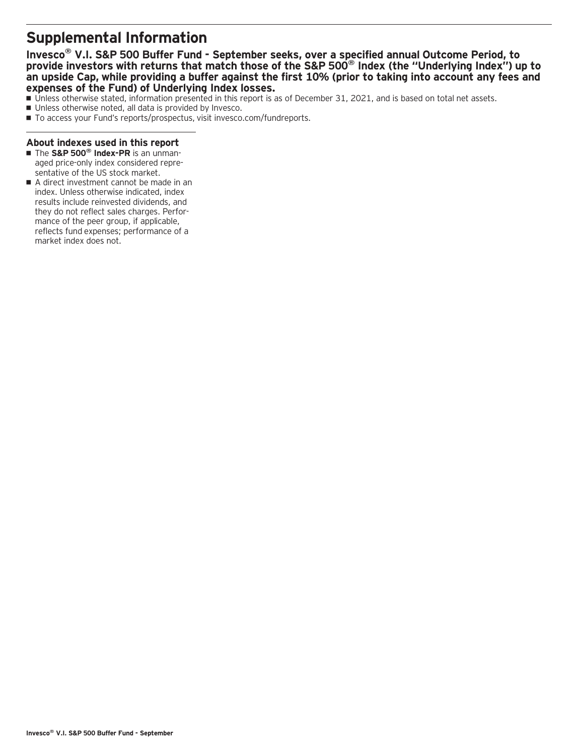# **Supplemental Information**

### **Invesco® V.I. S&P 500 Buffer Fund - September seeks, over a specified annual Outcome Period, to provide investors with returns that match those of the S&P 500® Index (the "Underlying Index") up to an upside Cap, while providing a buffer against the first 10% (prior to taking into account any fees and expenses of the Fund) of Underlying Index losses.**

- Unless otherwise stated, information presented in this report is as of December 31, 2021, and is based on total net assets.
- Unless otherwise noted, all data is provided by Invesco.
- To access your Fund's reports/prospectus, visit invesco.com/fundreports.

### **About indexes used in this report**

- The S&P 500<sup>®</sup> Index-PR is an unmanaged price-only index considered representative of the US stock market.
- A direct investment cannot be made in an index. Unless otherwise indicated, index results include reinvested dividends, and they do not reflect sales charges. Performance of the peer group, if applicable, reflects fund expenses; performance of a market index does not.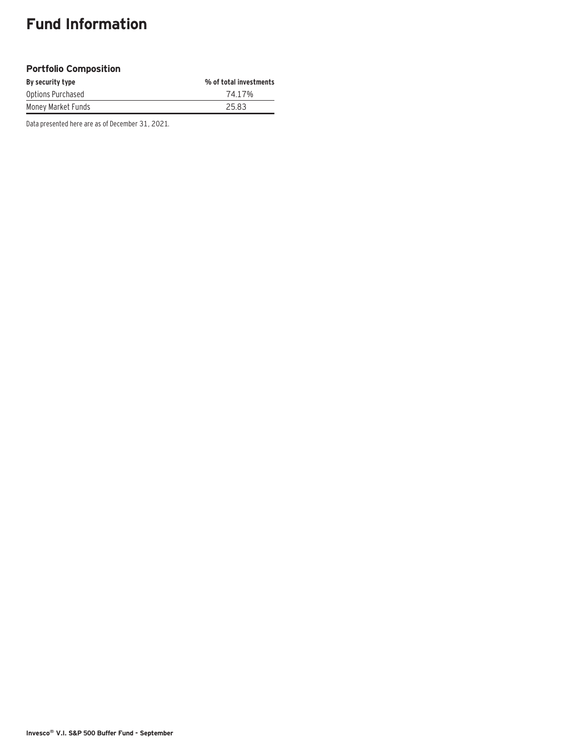# **Fund Information**

### **Portfolio Composition**

| By security type   | % of total investments |
|--------------------|------------------------|
| Options Purchased  | 74.17%                 |
| Money Market Funds | 25.83                  |

Data presented here are as of December 31, 2021.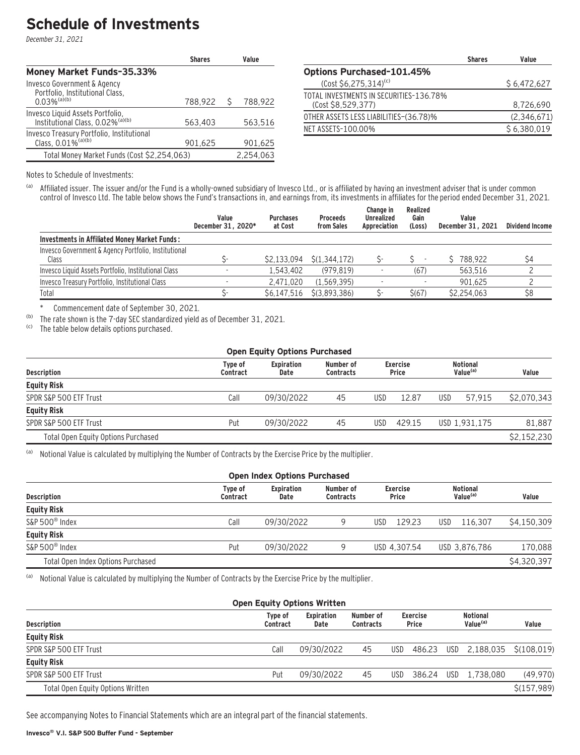# **Schedule of Investments**

December 31, 2021

|                                                                                              | <b>Shares</b> |   | Value     |
|----------------------------------------------------------------------------------------------|---------------|---|-----------|
| Money Market Funds-35.33%                                                                    |               |   |           |
| Invesco Government & Agency<br>Portfolio, Institutional Class,<br>$0.03\%$ <sup>(a)(b)</sup> | 788,922       | Ŝ | 788,922   |
| Invesco Liquid Assets Portfolio,<br>Institutional Class, 0.02% <sup>(a)(b)</sup>             | 563,403       |   | 563,516   |
| Invesco Treasury Portfolio, Institutional<br>Class, 0.01% <sup>(a)(b)</sup>                  | 901.625       |   | 901,625   |
| Total Money Market Funds (Cost \$2,254,063)                                                  |               |   | 2.254.063 |

|                                                               | <b>Shares</b> | Value       |
|---------------------------------------------------------------|---------------|-------------|
| <b>Options Purchased-101.45%</b>                              |               |             |
| $(Cost $6, 275, 314)^{(c)}$                                   |               | \$6,472,627 |
| TOTAL INVESTMENTS IN SECURITIES-136.78%<br>(Cost \$8,529,377) |               | 8,726,690   |
| OTHER ASSETS LESS LIABILITIES–(36.78)%                        |               | (2,346,671) |
| NET ASSETS-100.00%                                            |               | \$6,380,019 |

Notes to Schedule of Investments:

(a) Affiliated issuer. The issuer and/or the Fund is a wholly-owned subsidiary of Invesco Ltd., or is affiliated by having an investment adviser that is under common control of Invesco Ltd. The table below shows the Fund's transactions in, and earnings from, its investments in affiliates for the period ended December 31, 2021.

|                                                      | Value<br>December 31, 2020* | <b>Purchases</b><br>at Cost | <b>Proceeds</b><br>from Sales | Change in<br><b>Unrealized</b><br>Appreciation | Realized<br>Gain<br>(Loss) | Value<br>December 31, 2021 | <b>Dividend Income</b> |
|------------------------------------------------------|-----------------------------|-----------------------------|-------------------------------|------------------------------------------------|----------------------------|----------------------------|------------------------|
| Investments in Affiliated Money Market Funds:        |                             |                             |                               |                                                |                            |                            |                        |
| Invesco Government & Agency Portfolio, Institutional |                             |                             |                               |                                                |                            |                            |                        |
| Class                                                |                             | \$2.133.094                 | S(1.344.172)                  |                                                |                            | 788.922                    | \$4                    |
| Invesco Liquid Assets Portfolio, Institutional Class |                             | 1.543.402                   | (979.819)                     |                                                | (67)                       | 563.516                    |                        |
| Invesco Treasury Portfolio, Institutional Class      |                             | 2.471.020                   | (1.569.395)                   |                                                |                            | 901.625                    |                        |
| Total                                                |                             | \$6.147.516                 | S(3.893.386)                  |                                                | \$(67)                     | \$2.254.063                | \$8                    |

\* Commencement date of September 30, 2021.

(b) The rate shown is the 7-day SEC standardized yield as of December 31, 2021.<br>(c) The table below details ontions nurchased

The table below details options purchased.

| <b>Open Equity Options Purchased</b> |                     |                           |                               |     |                                 |            |                                         |             |  |  |  |
|--------------------------------------|---------------------|---------------------------|-------------------------------|-----|---------------------------------|------------|-----------------------------------------|-------------|--|--|--|
| <b>Description</b>                   | Type of<br>Contract | <b>Expiration</b><br>Date | Number of<br><b>Contracts</b> |     | <b>Exercise</b><br><b>Price</b> |            | <b>Notional</b><br>Value <sup>(a)</sup> | Value       |  |  |  |
| <b>Equity Risk</b>                   |                     |                           |                               |     |                                 |            |                                         |             |  |  |  |
| SPDR S&P 500 ETF Trust               | Call                | 09/30/2022                | 45                            | USD | 12.87                           | <b>USD</b> | 57.915                                  | \$2,070,343 |  |  |  |
| <b>Equity Risk</b>                   |                     |                           |                               |     |                                 |            |                                         |             |  |  |  |
| SPDR S&P 500 ETF Trust               | Put                 | 09/30/2022                | 45                            | USD | 429.15                          |            | USD 1,931,175                           | 81.887      |  |  |  |
| Total Open Equity Options Purchased  |                     |                           |                               |     |                                 |            |                                         | \$2,152,230 |  |  |  |

(a) Notional Value is calculated by multiplying the Number of Contracts by the Exercise Price by the multiplier.

| <b>Open Index Options Purchased</b> |                                                                                                                      |            |  |                                         |                |             |  |  |  |  |
|-------------------------------------|----------------------------------------------------------------------------------------------------------------------|------------|--|-----------------------------------------|----------------|-------------|--|--|--|--|
| <b>Description</b>                  | <b>Expiration</b><br>Number of<br><b>Exercise</b><br>Type of<br><b>Contracts</b><br><b>Price</b><br>Contract<br>Date |            |  | <b>Notional</b><br>Value <sup>(a)</sup> | Value          |             |  |  |  |  |
| <b>Equity Risk</b>                  |                                                                                                                      |            |  |                                         |                |             |  |  |  |  |
| S&P 500 <sup>®</sup> Index          | Call                                                                                                                 | 09/30/2022 |  | 129.23<br>USD                           | 116.307<br>USD | \$4,150,309 |  |  |  |  |
| <b>Equity Risk</b>                  |                                                                                                                      |            |  |                                         |                |             |  |  |  |  |
| S&P 500 <sup>®</sup> Index          | Put                                                                                                                  | 09/30/2022 |  | USD 4.307.54                            | USD 3,876,786  | 170.088     |  |  |  |  |
| Total Open Index Options Purchased  |                                                                                                                      |            |  |                                         |                | \$4,320,397 |  |  |  |  |

(a) Notional Value is calculated by multiplying the Number of Contracts by the Exercise Price by the multiplier.

| <b>Open Equity Options Written</b> |                     |                           |                               |            |                                 |  |                                         |             |  |  |  |
|------------------------------------|---------------------|---------------------------|-------------------------------|------------|---------------------------------|--|-----------------------------------------|-------------|--|--|--|
| <b>Description</b>                 | Type of<br>Contract | <b>Expiration</b><br>Date | Number of<br><b>Contracts</b> |            | <b>Exercise</b><br><b>Price</b> |  | <b>Notional</b><br>Value <sup>(a)</sup> | Value       |  |  |  |
| <b>Equity Risk</b>                 |                     |                           |                               |            |                                 |  |                                         |             |  |  |  |
| SPDR S&P 500 ETF Trust             | Call                | 09/30/2022                | 45                            | <b>USD</b> |                                 |  | 486.23 USD 2.188.035 \$(108.019)        |             |  |  |  |
| <b>Equity Risk</b>                 |                     |                           |                               |            |                                 |  |                                         |             |  |  |  |
| SPDR S&P 500 ETF Trust             | Put                 | 09/30/2022                | 45                            | USD        | 386.24 USD                      |  | 1.738.080                               | (49,970)    |  |  |  |
| Total Open Equity Options Written  |                     |                           |                               |            |                                 |  |                                         | \$(157,989) |  |  |  |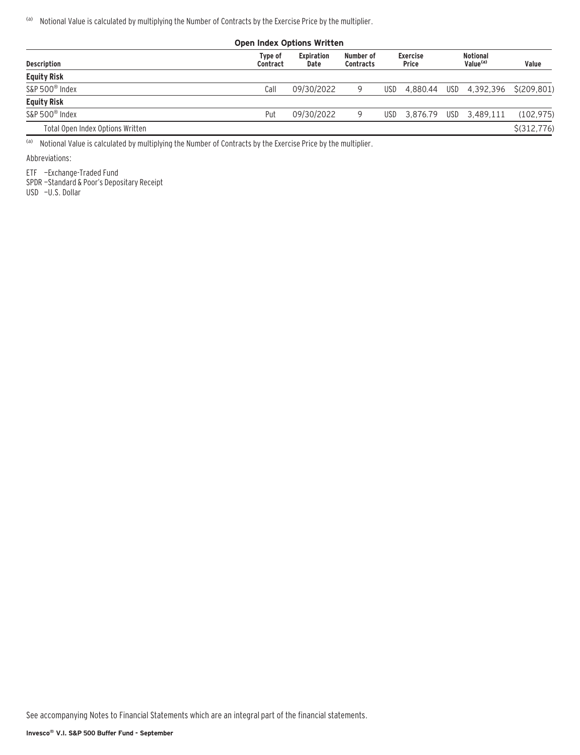(a) Notional Value is calculated by multiplying the Number of Contracts by the Exercise Price by the multiplier.

| <b>Open Index Options Written</b> |                     |                    |                               |      |                                 |  |                                    |               |  |  |  |
|-----------------------------------|---------------------|--------------------|-------------------------------|------|---------------------------------|--|------------------------------------|---------------|--|--|--|
| <b>Description</b>                | Type of<br>Contract | Expiration<br>Date | Number of<br><b>Contracts</b> |      | <b>Exercise</b><br><b>Price</b> |  | Notional<br>Value <sup>(a)</sup>   | Value         |  |  |  |
| <b>Equity Risk</b>                |                     |                    |                               |      |                                 |  |                                    |               |  |  |  |
| S&P 500 <sup>®</sup> Index        | Call                | 09/30/2022         |                               | USD. |                                 |  | 4,880.44 USD 4,392,396 \$(209,801) |               |  |  |  |
| <b>Equity Risk</b>                |                     |                    |                               |      |                                 |  |                                    |               |  |  |  |
| S&P 500 <sup>®</sup> Index        | Put                 | 09/30/2022         |                               | USD. |                                 |  | 3.876.79 USD 3.489.111             | (102, 975)    |  |  |  |
| Total Open Index Options Written  |                     |                    |                               |      |                                 |  |                                    | $$$ (312,776) |  |  |  |

(a) Notional Value is calculated by multiplying the Number of Contracts by the Exercise Price by the multiplier.

Abbreviations:

ETF —Exchange-Traded Fund

SPDR —Standard & Poor's Depositary Receipt

USD —U.S. Dollar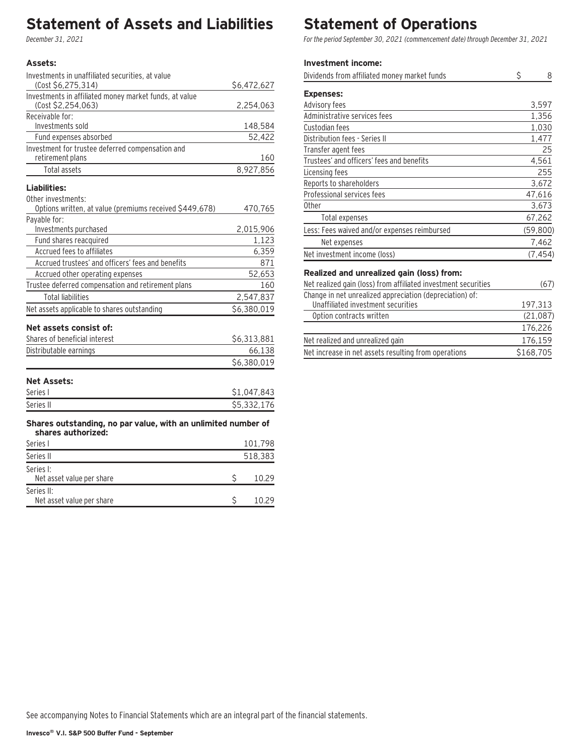# **Statement of Assets and Liabilities**

December 31, 2021

### **Assets:**

| Investments in unaffiliated securities, at value                                       |             |
|----------------------------------------------------------------------------------------|-------------|
| (Cost \$6,275,314)                                                                     | \$6,472,627 |
| Investments in affiliated money market funds, at value<br>(Cost \$2,254,063)           | 2,254,063   |
| Receivable for:                                                                        |             |
| Investments sold                                                                       | 148,584     |
| Fund expenses absorbed                                                                 | 52,422      |
| Investment for trustee deferred compensation and<br>retirement plans                   | 160         |
| Total assets                                                                           | 8,927,856   |
| Liabilities:                                                                           |             |
| Other investments:<br>Options written, at value (premiums received \$449,678)          | 470,765     |
| Payable for:                                                                           |             |
| Investments purchased                                                                  | 2,015,906   |
| Fund shares reacquired                                                                 | 1,123       |
| Accrued fees to affiliates                                                             | 6,359       |
| Accrued trustees' and officers' fees and benefits                                      | 871         |
| Accrued other operating expenses                                                       | 52,653      |
| Trustee deferred compensation and retirement plans                                     | 160         |
| <b>Total liabilities</b>                                                               | 2,547,837   |
| Net assets applicable to shares outstanding                                            | \$6,380,019 |
| Net assets consist of:                                                                 |             |
| Shares of beneficial interest                                                          | \$6,313,881 |
| Distributable earnings                                                                 | 66,138      |
|                                                                                        | \$6,380,019 |
| <b>Net Assets:</b>                                                                     |             |
| Series I                                                                               | \$1,047,843 |
| Series II                                                                              | \$5,332,176 |
| Shares outstanding, no par value, with an unlimited number of<br>المقددة وتماكنتك لممت |             |

### **shares authorized:** Series I 101,798 Series II 518,383 Series I: Net asset value per share  $\zeta$  10.29 Series II:  $\frac{1}{2}$  Net asset value per share  $\frac{1}{2}$  10.29

# **Statement of Operations**

For the period September 30, 2021 (commencement date) through December 31, 2021

### **Investment income:**

| Dividends from affiliated money market funds                   | \$<br>8   |
|----------------------------------------------------------------|-----------|
| <b>Expenses:</b>                                               |           |
| Advisory fees                                                  | 3,597     |
| Administrative services fees                                   | 1,356     |
| Custodian fees                                                 | 1,030     |
| Distribution fees - Series II                                  | 1,477     |
| Transfer agent fees                                            | 25        |
| Trustees' and officers' fees and benefits                      | 4,561     |
| Licensing fees                                                 | 255       |
| Reports to shareholders                                        | 3,672     |
| Professional services fees                                     | 47,616    |
| 0ther                                                          | 3,673     |
| Total expenses                                                 | 67,262    |
| Less: Fees waived and/or expenses reimbursed                   | (59, 800) |
| Net expenses                                                   | 7,462     |
| Net investment income (loss)                                   | (7, 454)  |
| Realized and unrealized gain (loss) from:                      |           |
| Net realized gain (loss) from affiliated investment securities | (67)      |
| Change in net unrealized appreciation (depreciation) of:       |           |
| Unaffiliated investment securities                             | 197,313   |
| Option contracts written                                       | (21, 087) |
|                                                                | 176,226   |
| Net realized and unrealized gain                               | 176,159   |

Net increase in net assets resulting from operations \$168,705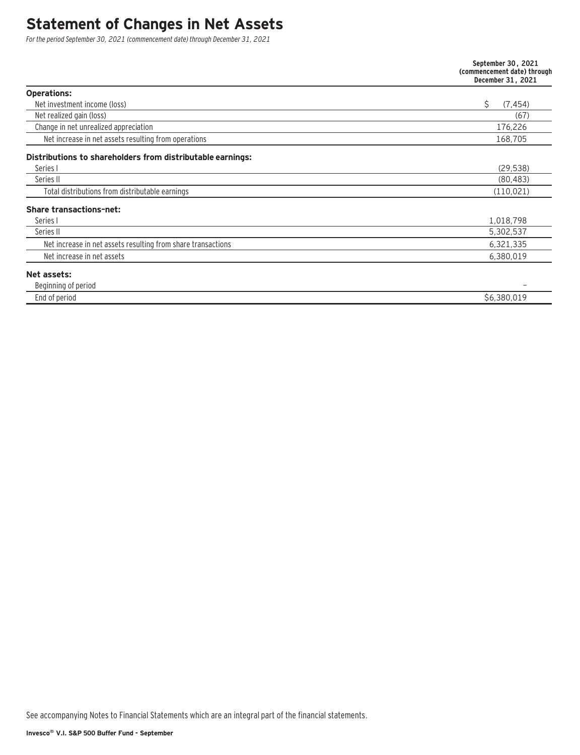# **Statement of Changes in Net Assets**

For the period September 30, 2021 (commencement date) through December 31, 2021

| Net increase in net assets resulting from operations<br>Total distributions from distributable earnings<br>Net increase in net assets resulting from share transactions<br>Net increase in net assets             | September 30, 2021<br>(commencement date) through<br>December 31, 2021 |
|-------------------------------------------------------------------------------------------------------------------------------------------------------------------------------------------------------------------|------------------------------------------------------------------------|
| <b>Operations:</b><br>Net investment income (loss)<br>Net realized gain (loss)<br>Change in net unrealized appreciation<br>Series I<br>Series II<br>Series I<br>Series II<br>Beginning of period<br>End of period |                                                                        |
|                                                                                                                                                                                                                   | Ś.<br>(7, 454)                                                         |
|                                                                                                                                                                                                                   | (67)                                                                   |
|                                                                                                                                                                                                                   | 176,226                                                                |
|                                                                                                                                                                                                                   | 168,705                                                                |
| Distributions to shareholders from distributable earnings:                                                                                                                                                        |                                                                        |
|                                                                                                                                                                                                                   | (29, 538)                                                              |
|                                                                                                                                                                                                                   | (80, 483)                                                              |
|                                                                                                                                                                                                                   | (110.021)                                                              |
| <b>Share transactions-net:</b>                                                                                                                                                                                    |                                                                        |
|                                                                                                                                                                                                                   | 1,018,798                                                              |
|                                                                                                                                                                                                                   | 5,302,537                                                              |
|                                                                                                                                                                                                                   | 6,321,335                                                              |
|                                                                                                                                                                                                                   | 6,380,019                                                              |
| Net assets:                                                                                                                                                                                                       |                                                                        |
|                                                                                                                                                                                                                   |                                                                        |
|                                                                                                                                                                                                                   | \$6,380,019                                                            |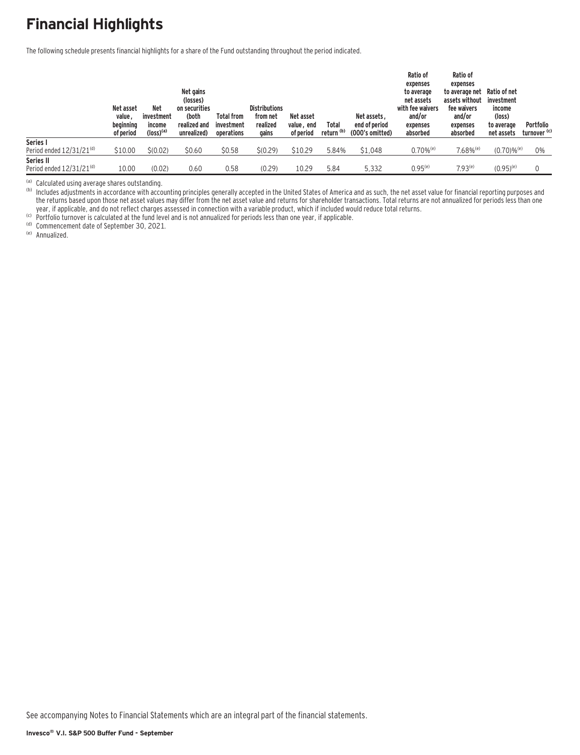# **Financial Highlights**

The following schedule presents financial highlights for a share of the Fund outstanding throughout the period indicated.

|                                            | Net asset<br>value,<br>beginning<br>of period | <b>Net</b><br>investment<br>income<br>$(logs)$ <sup>(a)</sup> | Net gains<br>(losses)<br>on securities<br>(both<br>realized and<br>unrealized) | <b>Total from</b><br>investment<br>operations | <b>Distributions</b><br>from net<br>realized<br>gains | Net asset<br>value, end<br>of period | Total<br>return <sup>(b)</sup> | Net assets.<br>end of period<br>(000's omitted) | Ratio of<br>expenses<br>to average<br>net assets<br>with fee waivers<br>and/or<br>expenses<br>absorbed | <b>Ratio of</b><br>expenses<br>to average net<br>assets without<br>fee waivers<br>and/or<br>expenses<br>absorbed | Ratio of net<br>investment<br>income<br>(loss)<br>to average<br>net assets | Portfolio<br>turnover <sup>(c)</sup> |
|--------------------------------------------|-----------------------------------------------|---------------------------------------------------------------|--------------------------------------------------------------------------------|-----------------------------------------------|-------------------------------------------------------|--------------------------------------|--------------------------------|-------------------------------------------------|--------------------------------------------------------------------------------------------------------|------------------------------------------------------------------------------------------------------------------|----------------------------------------------------------------------------|--------------------------------------|
| Series I                                   |                                               |                                                               |                                                                                |                                               |                                                       |                                      |                                |                                                 |                                                                                                        |                                                                                                                  |                                                                            |                                      |
| Period ended $12/31/21^{(d)}$              | \$10.00                                       | \$(0.02)                                                      | \$0.60                                                                         | \$0.58                                        | \$(0.29)                                              | \$10.29                              | 5.84%                          | \$1,048                                         | $0.70\%$ <sup>(e)</sup>                                                                                | $7.68\%$ <sup>(e)</sup>                                                                                          | $(0.70) \%$ <sup>(e)</sup>                                                 | 0%                                   |
| Series II<br>Period ended $12/31/21^{(d)}$ | 10.00                                         | (0.02)                                                        | 0.60                                                                           | 0.58                                          | (0.29)                                                | 10.29                                | 5.84                           | 5.332                                           | $0.95^{(e)}$                                                                                           | $7.93^{(e)}$                                                                                                     | $(0.95)^{(e)}$                                                             |                                      |

<sup>(a)</sup> Calculated using average shares outstanding.<br><sup>(b)</sup> Includes adjustments in accordance with accounting principles generally accepted in the United States of America and as such, the net asset value for financial repor the returns based upon those net asset values may differ from the net asset value and returns for shareholder transactions. Total returns are not annualized for periods less than one year, if applicable, and do not reflect charges assessed in connection with a variable product, which if included would reduce total returns.<br>
(c) Portfolio turnover is calculated at the fund level and is not annualized fo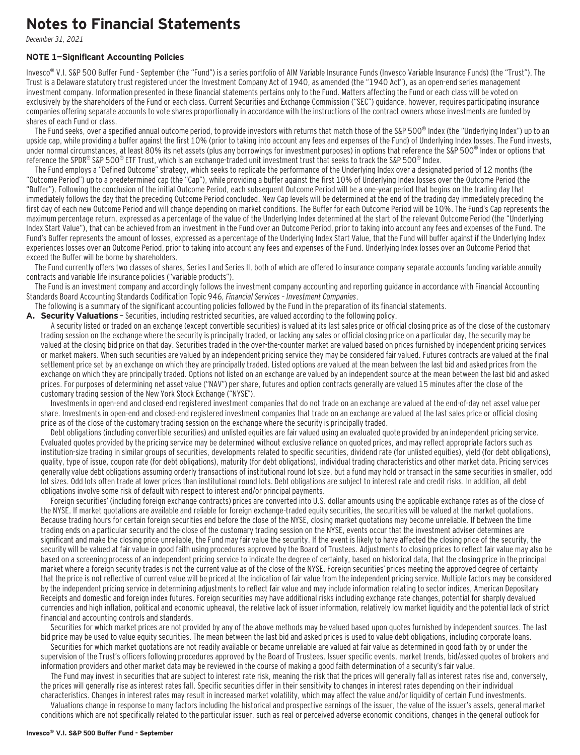### **Notes to Financial Statements**

December 31, 2021

#### **NOTE 1—Significant Accounting Policies**

Invesco<sup>®</sup> V.I. S&P 500 Buffer Fund - September (the "Fund") is a series portfolio of AIM Variable Insurance Funds (Invesco Variable Insurance Funds) (the "Trust"). The Trust is a Delaware statutory trust registered under the Investment Company Act of 1940, as amended (the "1940 Act"), as an open-end series management investment company. Information presented in these financial statements pertains only to the Fund. Matters affecting the Fund or each class will be voted on exclusively by the shareholders of the Fund or each class. Current Securities and Exchange Commission ("SEC") guidance, however, requires participating insurance companies offering separate accounts to vote shares proportionally in accordance with the instructions of the contract owners whose investments are funded by shares of each Fund or class.

The Fund seeks, over a specified annual outcome period, to provide investors with returns that match those of the S&P 500<sup>®</sup> Index (the "Underlying Index") up to an upside cap, while providing a buffer against the first 10% (prior to taking into account any fees and expenses of the Fund) of Underlying Index losses. The Fund invests, under normal circumstances, at least 80% its net assets (plus any borrowings for investment purposes) in options that reference the S&P 500<sup>®</sup> Index or options that reference the SPDR® S&P 500® ETF Trust, which is an exchange-traded unit investment trust that seeks to track the S&P 500® Index.

The Fund employs a "Defined Outcome" strategy, which seeks to replicate the performance of the Underlying Index over a designated period of 12 months (the "Outcome Period") up to a predetermined cap (the "Cap"), while providing a buffer against the first 10% of Underlying Index losses over the Outcome Period (the "Buffer"). Following the conclusion of the initial Outcome Period, each subsequent Outcome Period will be a one-year period that begins on the trading day that immediately follows the day that the preceding Outcome Period concluded. New Cap levels will be determined at the end of the trading day immediately preceding the first day of each new Outcome Period and will change depending on market conditions. The Buffer for each Outcome Period will be 10%. The Fund's Cap represents the maximum percentage return, expressed as a percentage of the value of the Underlying Index determined at the start of the relevant Outcome Period (the "Underlying Index Start Value"), that can be achieved from an investment in the Fund over an Outcome Period, prior to taking into account any fees and expenses of the Fund. The Fund's Buffer represents the amount of losses, expressed as a percentage of the Underlying Index Start Value, that the Fund will buffer against if the Underlying Index experiences losses over an Outcome Period, prior to taking into account any fees and expenses of the Fund. Underlying Index losses over an Outcome Period that exceed the Buffer will be borne by shareholders.

The Fund currently offers two classes of shares, Series I and Series II, both of which are offered to insurance company separate accounts funding variable annuity contracts and variable life insurance policies ("variable products").

The Fund is an investment company and accordingly follows the investment company accounting and reporting guidance in accordance with Financial Accounting Standards Board Accounting Standards Codification Topic 946, Financial Services – Investment Companies.

The following is a summary of the significant accounting policies followed by the Fund in the preparation of its financial statements.

A. Security Valuations - Securities, including restricted securities, are valued according to the following policy.

A security listed or traded on an exchange (except convertible securities) is valued at its last sales price or official closing price as of the close of the customary trading session on the exchange where the security is principally traded, or lacking any sales or official closing price on a particular day, the security may be valued at the closing bid price on that day. Securities traded in the over-the-counter market are valued based on prices furnished by independent pricing services or market makers. When such securities are valued by an independent pricing service they may be considered fair valued. Futures contracts are valued at the final settlement price set by an exchange on which they are principally traded. Listed options are valued at the mean between the last bid and asked prices from the exchange on which they are principally traded. Options not listed on an exchange are valued by an independent source at the mean between the last bid and asked prices. For purposes of determining net asset value ("NAV") per share, futures and option contracts generally are valued 15 minutes after the close of the customary trading session of the New York Stock Exchange ("NYSE").

Investments in open-end and closed-end registered investment companies that do not trade on an exchange are valued at the end-of-day net asset value per share. Investments in open-end and closed-end registered investment companies that trade on an exchange are valued at the last sales price or official closing price as of the close of the customary trading session on the exchange where the security is principally traded.

Debt obligations (including convertible securities) and unlisted equities are fair valued using an evaluated quote provided by an independent pricing service. Evaluated quotes provided by the pricing service may be determined without exclusive reliance on quoted prices, and may reflect appropriate factors such as institution-size trading in similar groups of securities, developments related to specific securities, dividend rate (for unlisted equities), yield (for debt obligations), quality, type of issue, coupon rate (for debt obligations), maturity (for debt obligations), individual trading characteristics and other market data. Pricing services generally value debt obligations assuming orderly transactions of institutional round lot size, but a fund may hold or transact in the same securities in smaller, odd lot sizes. Odd lots often trade at lower prices than institutional round lots. Debt obligations are subject to interest rate and credit risks. In addition, all debt obligations involve some risk of default with respect to interest and/or principal payments.

Foreign securities' (including foreign exchange contracts) prices are converted into U.S. dollar amounts using the applicable exchange rates as of the close of the NYSE. If market quotations are available and reliable for foreign exchange-traded equity securities, the securities will be valued at the market quotations. Because trading hours for certain foreign securities end before the close of the NYSE, closing market quotations may become unreliable. If between the time trading ends on a particular security and the close of the customary trading session on the NYSE, events occur that the investment adviser determines are significant and make the closing price unreliable, the Fund may fair value the security. If the event is likely to have affected the closing price of the security, the security will be valued at fair value in good faith using procedures approved by the Board of Trustees. Adjustments to closing prices to reflect fair value may also be based on a screening process of an independent pricing service to indicate the degree of certainty, based on historical data, that the closing price in the principal market where a foreign security trades is not the current value as of the close of the NYSE. Foreign securities' prices meeting the approved degree of certainty that the price is not reflective of current value will be priced at the indication of fair value from the independent pricing service. Multiple factors may be considered by the independent pricing service in determining adjustments to reflect fair value and may include information relating to sector indices, American Depositary Receipts and domestic and foreign index futures. Foreign securities may have additional risks including exchange rate changes, potential for sharply devalued currencies and high inflation, political and economic upheaval, the relative lack of issuer information, relatively low market liquidity and the potential lack of strict financial and accounting controls and standards.

Securities for which market prices are not provided by any of the above methods may be valued based upon quotes furnished by independent sources. The last bid price may be used to value equity securities. The mean between the last bid and asked prices is used to value debt obligations, including corporate loans.

Securities for which market quotations are not readily available or became unreliable are valued at fair value as determined in good faith by or under the supervision of the Trust's officers following procedures approved by the Board of Trustees. Issuer specific events, market trends, bid/asked quotes of brokers and information providers and other market data may be reviewed in the course of making a good faith determination of a security's fair value.

The Fund may invest in securities that are subject to interest rate risk, meaning the risk that the prices will generally fall as interest rates rise and, conversely, the prices will generally rise as interest rates fall. Specific securities differ in their sensitivity to changes in interest rates depending on their individual characteristics. Changes in interest rates may result in increased market volatility, which may affect the value and/or liquidity of certain Fund investments.

Valuations change in response to many factors including the historical and prospective earnings of the issuer, the value of the issuer's assets, general market conditions which are not specifically related to the particular issuer, such as real or perceived adverse economic conditions, changes in the general outlook for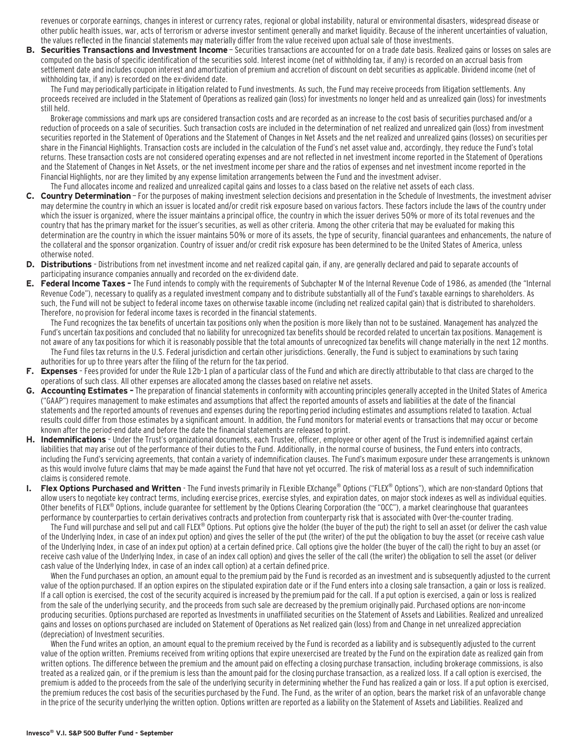revenues or corporate earnings, changes in interest or currency rates, regional or global instability, natural or environmental disasters, widespread disease or other public health issues, war, acts of terrorism or adverse investor sentiment generally and market liquidity. Because of the inherent uncertainties of valuation, the values reflected in the financial statements may materially differ from the value received upon actual sale of those investments.

**B. Securities Transactions and Investment Income** - Securities transactions are accounted for on a trade date basis. Realized gains or losses on sales are computed on the basis of specific identification of the securities sold. Interest income (net of withholding tax, if any) is recorded on an accrual basis from settlement date and includes coupon interest and amortization of premium and accretion of discount on debt securities as applicable. Dividend income (net of withholding tax, if any) is recorded on the ex-dividend date.

The Fund may periodically participate in litigation related to Fund investments. As such, the Fund may receive proceeds from litigation settlements. Any proceeds received are included in the Statement of Operations as realized gain (loss) for investments no longer held and as unrealized gain (loss) for investments still held.

Brokerage commissions and mark ups are considered transaction costs and are recorded as an increase to the cost basis of securities purchased and/or a reduction of proceeds on a sale of securities. Such transaction costs are included in the determination of net realized and unrealized gain (loss) from investment securities reported in the Statement of Operations and the Statement of Changes in Net Assets and the net realized and unrealized gains (losses) on securities per share in the Financial Highlights. Transaction costs are included in the calculation of the Fund's net asset value and, accordingly, they reduce the Fund's total returns. These transaction costs are not considered operating expenses and are not reflected in net investment income reported in the Statement of Operations and the Statement of Changes in Net Assets, or the net investment income per share and the ratios of expenses and net investment income reported in the Financial Highlights, nor are they limited by any expense limitation arrangements between the Fund and the investment adviser.

#### The Fund allocates income and realized and unrealized capital gains and losses to a class based on the relative net assets of each class.

- **C. Country Determination**  For the purposes of making investment selection decisions and presentation in the Schedule of Investments, the investment adviser may determine the country in which an issuer is located and/or credit risk exposure based on various factors. These factors include the laws of the country under which the issuer is organized, where the issuer maintains a principal office, the country in which the issuer derives 50% or more of its total revenues and the country that has the primary market for the issuer's securities, as well as other criteria. Among the other criteria that may be evaluated for making this determination are the country in which the issuer maintains 50% or more of its assets, the type of security, financial guarantees and enhancements, the nature of the collateral and the sponsor organization. Country of issuer and/or credit risk exposure has been determined to be the United States of America, unless otherwise noted.
- **D. Distributions**  Distributions from net investment income and net realized capital gain, if any, are generally declared and paid to separate accounts of participating insurance companies annually and recorded on the ex-dividend date.
- **E. Federal Income Taxes** The Fund intends to comply with the requirements of Subchapter M of the Internal Revenue Code of 1986, as amended (the "Internal Revenue Code"), necessary to qualify as a regulated investment company and to distribute substantially all of the Fund's taxable earnings to shareholders. As such, the Fund will not be subject to federal income taxes on otherwise taxable income (including net realized capital gain) that is distributed to shareholders. Therefore, no provision for federal income taxes is recorded in the financial statements.

The Fund recognizes the tax benefits of uncertain tax positions only when the position is more likely than not to be sustained. Management has analyzed the Fund's uncertain tax positions and concluded that no liability for unrecognized tax benefits should be recorded related to uncertain tax positions. Management is not aware of any tax positions for which it is reasonably possible that the total amounts of unrecognized tax benefits will change materially in the next 12 months. The Fund files tax returns in the U.S. Federal jurisdiction and certain other jurisdictions. Generally, the Fund is subject to examinations by such taxing authorities for up to three years after the filing of the return for the tax period.

- **F. Expenses**  Fees provided for under the Rule 12b-1 plan of a particular class of the Fund and which are directly attributable to that class are charged to the operations of such class. All other expenses are allocated among the classes based on relative net assets.
- **G. Accounting Estimates** The preparation of financial statements in conformity with accounting principles generally accepted in the United States of America ("GAAP") requires management to make estimates and assumptions that affect the reported amounts of assets and liabilities at the date of the financial statements and the reported amounts of revenues and expenses during the reporting period including estimates and assumptions related to taxation. Actual results could differ from those estimates by a significant amount. In addition, the Fund monitors for material events or transactions that may occur or become known after the period-end date and before the date the financial statements are released to print.
- **H. Indemnifications**  Under the Trust's organizational documents, each Trustee, officer, employee or other agent of the Trust is indemnified against certain liabilities that may arise out of the performance of their duties to the Fund. Additionally, in the normal course of business, the Fund enters into contracts, including the Fund's servicing agreements, that contain a variety of indemnification clauses. The Fund's maximum exposure under these arrangements is unknown as this would involve future claims that may be made against the Fund that have not yet occurred. The risk of material loss as a result of such indemnification claims is considered remote.
- **Flex Options Purchased and Written** The Fund invests primarily in FLexible EXchange<sup>®</sup> Options ("FLEX® Options"), which are non-standard Options that allow users to negotiate key contract terms, including exercise prices, exercise styles, and expiration dates, on major stock indexes as well as individual equities. Other benefits of FLEX® Options, include guarantee for settlement by the Options Clearing Corporation (the "OCC"), a market clearinghouse that guarantees performance by counterparties to certain derivatives contracts and protection from counterparty risk that is associated with Over-the-counter trading.

The Fund will purchase and sell put and call FLEX® Options. Put options give the holder (the buyer of the put) the right to sell an asset (or deliver the cash value of the Underlying Index, in case of an index put option) and gives the seller of the put (the writer) of the put the obligation to buy the asset (or receive cash value of the Underlying Index, in case of an index put option) at a certain defined price. Call options give the holder (the buyer of the call) the right to buy an asset (or receive cash value of the Underlying Index, in case of an index call option) and gives the seller of the call (the writer) the obligation to sell the asset (or deliver cash value of the Underlying Index, in case of an index call option) at a certain defined price.

When the Fund purchases an option, an amount equal to the premium paid by the Fund is recorded as an investment and is subsequently adjusted to the current value of the option purchased. If an option expires on the stipulated expiration date or if the Fund enters into a closing sale transaction, a gain or loss is realized. If a call option is exercised, the cost of the security acquired is increased by the premium paid for the call. If a put option is exercised, a gain or loss is realized from the sale of the underlying security, and the proceeds from such sale are decreased by the premium originally paid. Purchased options are non-income producing securities. Options purchased are reported as Investments in unaffiliated securities on the Statement of Assets and Liabilities. Realized and unrealized gains and losses on options purchased are included on Statement of Operations as Net realized gain (loss) from and Change in net unrealized appreciation (depreciation) of Investment securities.

When the Fund writes an option, an amount equal to the premium received by the Fund is recorded as a liability and is subsequently adjusted to the current value of the option written. Premiums received from writing options that expire unexercised are treated by the Fund on the expiration date as realized gain from written options. The difference between the premium and the amount paid on effecting a closing purchase transaction, including brokerage commissions, is also treated as a realized gain, or if the premium is less than the amount paid for the closing purchase transaction, as a realized loss. If a call option is exercised, the premium is added to the proceeds from the sale of the underlying security in determining whether the Fund has realized a gain or loss. If a put option is exercised, the premium reduces the cost basis of the securities purchased by the Fund. The Fund, as the writer of an option, bears the market risk of an unfavorable change in the price of the security underlying the written option. Options written are reported as a liability on the Statement of Assets and Liabilities. Realized and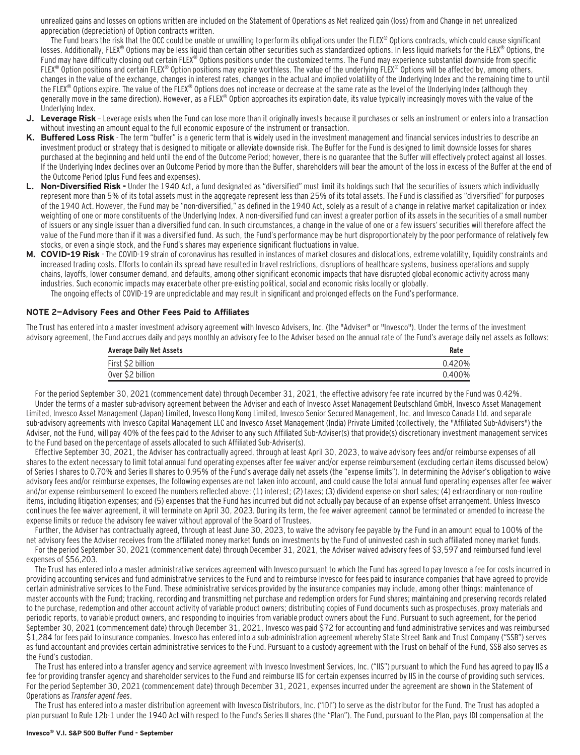unrealized gains and losses on options written are included on the Statement of Operations as Net realized gain (loss) from and Change in net unrealized appreciation (depreciation) of Option contracts written.

The Fund bears the risk that the OCC could be unable or unwilling to perform its obligations under the FLEX® Options contracts, which could cause significant losses. Additionally, FLEX® Options may be less liquid than certain other securities such as standardized options. In less liquid markets for the FLEX® Options, the Fund may have difficulty closing out certain FLEX® Options positions under the customized terms. The Fund may experience substantial downside from specific FLEX<sup>®</sup> Option positions and certain FLEX<sup>®</sup> Option positions may expire worthless. The value of the underlying FLEX<sup>®</sup> Options will be affected by, among others, changes in the value of the exchange, changes in interest rates, changes in the actual and implied volatility of the Underlying Index and the remaining time to until the FLEX® Options expire. The value of the FLEX® Options does not increase or decrease at the same rate as the level of the Underlying Index (although they generally move in the same direction). However, as a FLEX® Option approaches its expiration date, its value typically increasingly moves with the value of the Underlying Index.

- **J. Leverage Risk**  Leverage exists when the Fund can lose more than it originally invests because it purchases or sells an instrument or enters into a transaction without investing an amount equal to the full economic exposure of the instrument or transaction.
- **K. Buffered Loss Risk**  The term "buffer" is a generic term that is widely used in the investment management and financial services industries to describe an investment product or strategy that is designed to mitigate or alleviate downside risk. The Buffer for the Fund is designed to limit downside losses for shares purchased at the beginning and held until the end of the Outcome Period; however, there is no guarantee that the Buffer will effectively protect against all losses. If the Underlying Index declines over an Outcome Period by more than the Buffer, shareholders will bear the amount of the loss in excess of the Buffer at the end of the Outcome Period (plus Fund fees and expenses).
- **L. Non-Diversified Risk** Under the 1940 Act, a fund designated as "diversified" must limit its holdings such that the securities of issuers which individually represent more than 5% of its total assets must in the aggregate represent less than 25% of its total assets. The Fund is classified as "diversified" for purposes of the 1940 Act. However, the Fund may be "non-diversified," as defined in the 1940 Act, solely as a result of a change in relative market capitalization or index weighting of one or more constituents of the Underlying Index. A non-diversified fund can invest a greater portion of its assets in the securities of a small number of issuers or any single issuer than a diversified fund can. In such circumstances, a change in the value of one or a few issuers' securities will therefore affect the value of the Fund more than if it was a diversified fund. As such, the Fund's performance may be hurt disproportionately by the poor performance of relatively few stocks, or even a single stock, and the Fund's shares may experience significant fluctuations in value.
- **M. COVID-19 Risk**  The COVID-19 strain of coronavirus has resulted in instances of market closures and dislocations, extreme volatility, liquidity constraints and increased trading costs. Efforts to contain its spread have resulted in travel restrictions, disruptions of healthcare systems, business operations and supply chains, layoffs, lower consumer demand, and defaults, among other significant economic impacts that have disrupted global economic activity across many industries. Such economic impacts may exacerbate other pre-existing political, social and economic risks locally or globally. The ongoing effects of COVID-19 are unpredictable and may result in significant and prolonged effects on the Fund's performance.

#### **NOTE 2—Advisory Fees and Other Fees Paid to Affiliates**

The Trust has entered into a master investment advisory agreement with Invesco Advisers, Inc. (the "Adviser" or "Invesco"). Under the terms of the investment advisory agreement, the Fund accrues daily and pays monthly an advisory fee to the Adviser based on the annual rate of the Fund's average daily net assets as follows:

| <b>Average Daily Net Assets</b> | Rate   |
|---------------------------------|--------|
| First \$2 billion               | 0.420% |
| Over \$2 billion                | 0.400% |

For the period September 30, 2021 (commencement date) through December 31, 2021, the effective advisory fee rate incurred by the Fund was 0.42%. Under the terms of a master sub-advisory agreement between the Adviser and each of Invesco Asset Management Deutschland GmbH, Invesco Asset Management Limited, Invesco Asset Management (Japan) Limited, Invesco Hong Kong Limited, Invesco Senior Secured Management, Inc. and Invesco Canada Ltd. and separate sub-advisory agreements with Invesco Capital Management LLC and Invesco Asset Management (India) Private Limited (collectively, the "Affiliated Sub-Advisers") the Adviser, not the Fund, will pay 40% of the fees paid to the Adviser to any such Affiliated Sub-Adviser(s) that provide(s) discretionary investment management services to the Fund based on the percentage of assets allocated to such Affiliated Sub-Adviser(s).

Effective September 30, 2021, the Adviser has contractually agreed, through at least April 30, 2023, to waive advisory fees and/or reimburse expenses of all shares to the extent necessary to limit total annual fund operating expenses after fee waiver and/or expense reimbursement (excluding certain items discussed below) of Series I shares to 0.70% and Series II shares to 0.95% of the Fund's average daily net assets (the "expense limits"). In determining the Adviser's obligation to waive advisory fees and/or reimburse expenses, the following expenses are not taken into account, and could cause the total annual fund operating expenses after fee waiver and/or expense reimbursement to exceed the numbers reflected above: (1) interest; (2) taxes; (3) dividend expense on short sales; (4) extraordinary or non-routine items, including litigation expenses; and (5) expenses that the Fund has incurred but did not actually pay because of an expense offset arrangement. Unless Invesco continues the fee waiver agreement, it will terminate on April 30, 2023. During its term, the fee waiver agreement cannot be terminated or amended to increase the expense limits or reduce the advisory fee waiver without approval of the Board of Trustees.

Further, the Adviser has contractually agreed, through at least June 30, 2023, to waive the advisory fee payable by the Fund in an amount equal to 100% of the net advisory fees the Adviser receives from the affiliated money market funds on investments by the Fund of uninvested cash in such affiliated money market funds.

For the period September 30, 2021 (commencement date) through December 31, 2021, the Adviser waived advisory fees of \$3,597 and reimbursed fund level expenses of \$56,203.

The Trust has entered into a master administrative services agreement with Invesco pursuant to which the Fund has agreed to pay Invesco a fee for costs incurred in providing accounting services and fund administrative services to the Fund and to reimburse Invesco for fees paid to insurance companies that have agreed to provide certain administrative services to the Fund. These administrative services provided by the insurance companies may include, among other things: maintenance of master accounts with the Fund; tracking, recording and transmitting net purchase and redemption orders for Fund shares; maintaining and preserving records related to the purchase, redemption and other account activity of variable product owners; distributing copies of Fund documents such as prospectuses, proxy materials and periodic reports, to variable product owners, and responding to inquiries from variable product owners about the Fund. Pursuant to such agreement, for the period September 30, 2021 (commencement date) through December 31, 2021, Invesco was paid \$72 for accounting and fund administrative services and was reimbursed \$1,284 for fees paid to insurance companies. Invesco has entered into a sub-administration agreement whereby State Street Bank and Trust Company ("SSB") serves as fund accountant and provides certain administrative services to the Fund. Pursuant to a custody agreement with the Trust on behalf of the Fund, SSB also serves as the Fund's custodian.

The Trust has entered into a transfer agency and service agreement with Invesco Investment Services, Inc. ("IIS") pursuant to which the Fund has agreed to pay IIS a fee for providing transfer agency and shareholder services to the Fund and reimburse IIS for certain expenses incurred by IIS in the course of providing such services. For the period September 30, 2021 (commencement date) through December 31, 2021, expenses incurred under the agreement are shown in the Statement of Operations as Transfer agent fees.

The Trust has entered into a master distribution agreement with Invesco Distributors, Inc. ("IDI") to serve as the distributor for the Fund. The Trust has adopted a plan pursuant to Rule 12b-1 under the 1940 Act with respect to the Fund's Series II shares (the "Plan"). The Fund, pursuant to the Plan, pays IDI compensation at the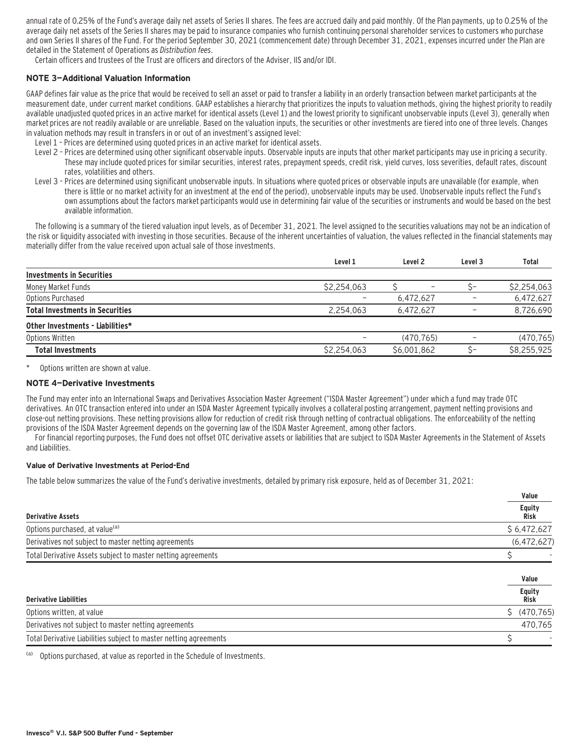annual rate of 0.25% of the Fund's average daily net assets of Series II shares. The fees are accrued daily and paid monthly. Of the Plan payments, up to 0.25% of the average daily net assets of the Series II shares may be paid to insurance companies who furnish continuing personal shareholder services to customers who purchase and own Series II shares of the Fund. For the period September 30, 2021 (commencement date) through December 31, 2021, expenses incurred under the Plan are detailed in the Statement of Operations as Distribution fees.

Certain officers and trustees of the Trust are officers and directors of the Adviser, IIS and/or IDI.

#### **NOTE 3—Additional Valuation Information**

GAAP defines fair value as the price that would be received to sell an asset or paid to transfer a liability in an orderly transaction between market participants at the measurement date, under current market conditions. GAAP establishes a hierarchy that prioritizes the inputs to valuation methods, giving the highest priority to readily available unadjusted quoted prices in an active market for identical assets (Level 1) and the lowest priority to significant unobservable inputs (Level 3), generally when market prices are not readily available or are unreliable. Based on the valuation inputs, the securities or other investments are tiered into one of three levels. Changes in valuation methods may result in transfers in or out of an investment's assigned level:

- Level 1 Prices are determined using quoted prices in an active market for identical assets.
- Level 2 Prices are determined using other significant observable inputs. Observable inputs that other market participants may use in pricing a security. These may include quoted prices for similar securities, interest rates, prepayment speeds, credit risk, yield curves, loss severities, default rates, discount rates, volatilities and others.
- Level 3 Prices are determined using significant unobservable inputs. In situations where quoted prices or observable inputs are unavailable (for example, when there is little or no market activity for an investment at the end of the period), unobservable inputs may be used. Unobservable inputs reflect the Fund's own assumptions about the factors market participants would use in determining fair value of the securities or instruments and would be based on the best available information.

The following is a summary of the tiered valuation input levels, as of December 31, 2021. The level assigned to the securities valuations may not be an indication of the risk or liquidity associated with investing in those securities. Because of the inherent uncertainties of valuation, the values reflected in the financial statements may materially differ from the value received upon actual sale of those investments.

|                                        | Level 1                  | Level 2     | Level 3 | Total       |
|----------------------------------------|--------------------------|-------------|---------|-------------|
| <b>Investments in Securities</b>       |                          |             |         |             |
| Money Market Funds                     | \$2,254,063              |             |         | \$2,254,063 |
| Options Purchased                      | $\overline{\phantom{0}}$ | 6.472.627   | -       | 6,472,627   |
| <b>Total Investments in Securities</b> | 2.254.063                | 6.472.627   |         | 8,726,690   |
| Other Investments - Liabilities*       |                          |             |         |             |
| Options Written                        | $\overline{\phantom{0}}$ | (470, 765)  |         | (470, 765)  |
| <b>Total Investments</b>               | \$2,254,063              | \$6.001.862 |         | \$8,255,925 |
|                                        |                          |             |         |             |

Options written are shown at value.

#### **NOTE 4—Derivative Investments**

The Fund may enter into an International Swaps and Derivatives Association Master Agreement ("ISDA Master Agreement") under which a fund may trade OTC derivatives. An OTC transaction entered into under an ISDA Master Agreement typically involves a collateral posting arrangement, payment netting provisions and close-out netting provisions. These netting provisions allow for reduction of credit risk through netting of contractual obligations. The enforceability of the netting provisions of the ISDA Master Agreement depends on the governing law of the ISDA Master Agreement, among other factors.

For financial reporting purposes, the Fund does not offset OTC derivative assets or liabilities that are subject to ISDA Master Agreements in the Statement of Assets and Liabilities.

#### **Value of Derivative Investments at Period-End**

The table below summarizes the value of the Fund's derivative investments, detailed by primary risk exposure, held as of December 31, 2021:

|                                                                   | Value            |
|-------------------------------------------------------------------|------------------|
| <b>Derivative Assets</b>                                          | Equity<br>Risk   |
| Options purchased, at value <sup>(a)</sup>                        | \$6,472,627      |
| Derivatives not subject to master netting agreements              | (6,472,627)      |
| Total Derivative Assets subject to master netting agreements      |                  |
|                                                                   |                  |
|                                                                   | Value            |
| <b>Derivative Liabilities</b>                                     | Equity<br>Risk   |
| Options written, at value                                         | (470, 765)<br>S. |
| Derivatives not subject to master netting agreements              | 470,765          |
| Total Derivative Liabilities subject to master netting agreements |                  |

(a) Options purchased, at value as reported in the Schedule of Investments.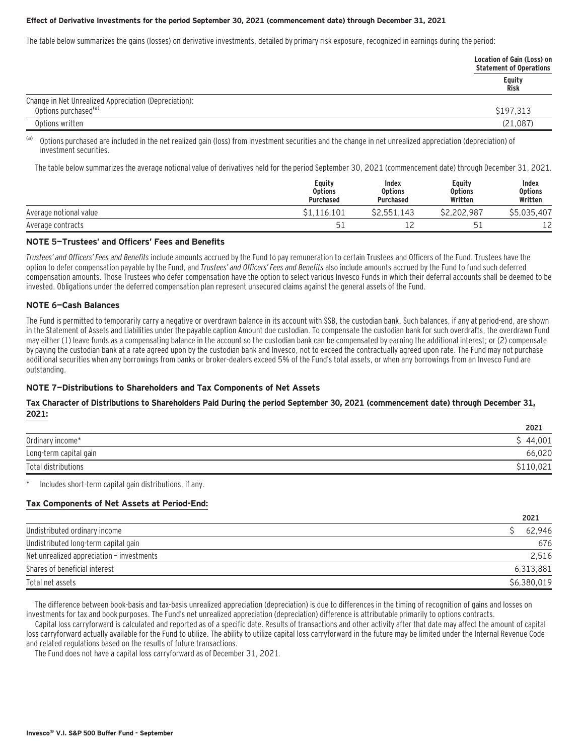#### **Effect of Derivative Investments for the period September 30, 2021 (commencement date) through December 31, 2021**

The table below summarizes the gains (losses) on derivative investments, detailed by primary risk exposure, recognized in earnings during the period:

|                                                       | Location of Gain (Loss) on<br><b>Statement of Operations</b> |
|-------------------------------------------------------|--------------------------------------------------------------|
|                                                       | Equity<br>Risk                                               |
| Change in Net Unrealized Appreciation (Depreciation): |                                                              |
| Options purchased <sup>(a)</sup>                      | \$197,313                                                    |
| Options written                                       | (21,087)                                                     |

(a) Options purchased are included in the net realized gain (loss) from investment securities and the change in net unrealized appreciation (depreciation) of investment securities.

The table below summarizes the average notional value of derivatives held for the period September 30, 2021 (commencement date) through December 31, 2021.

|                        | Equity<br><b>Options</b><br>Purchased | Index<br><b>Options</b><br><b>Purchased</b> | Equity<br><b>Options</b><br>Written | Index<br><b>Options</b><br>Written |
|------------------------|---------------------------------------|---------------------------------------------|-------------------------------------|------------------------------------|
| Average notional value | 1.116.101                             | \$2.551.143                                 | \$2.202.987                         | \$5.035.407                        |
| Average contracts      | 51                                    | --                                          | 51                                  | ∍                                  |

#### **NOTE 5—Trustees' and Officers' Fees and Benefits**

Trustees' and Officers' Fees and Benefits include amounts accrued by the Fund to pay remuneration to certain Trustees and Officers of the Fund. Trustees have the option to defer compensation payable by the Fund, and Trustees' and Officers' Fees and Benefits also include amounts accrued by the Fund to fund such deferred compensation amounts. Those Trustees who defer compensation have the option to select various Invesco Funds in which their deferral accounts shall be deemed to be invested. Obligations under the deferred compensation plan represent unsecured claims against the general assets of the Fund.

#### **NOTE 6—Cash Balances**

The Fund is permitted to temporarily carry a negative or overdrawn balance in its account with SSB, the custodian bank. Such balances, if any at period-end, are shown in the Statement of Assets and Liabilities under the payable caption Amount due custodian. To compensate the custodian bank for such overdrafts, the overdrawn Fund may either (1) leave funds as a compensating balance in the account so the custodian bank can be compensated by earning the additional interest; or (2) compensate by paying the custodian bank at a rate agreed upon by the custodian bank and Invesco, not to exceed the contractually agreed upon rate. The Fund may not purchase additional securities when any borrowings from banks or broker-dealers exceed 5% of the Fund's total assets, or when any borrowings from an Invesco Fund are outstanding.

### **NOTE 7—Distributions to Shareholders and Tax Components of Net Assets**

#### **Tax Character of Distributions to Shareholders Paid During the period September 30, 2021 (commencement date) through December 31, 2021:**

| 2021     |
|----------|
| \$44.001 |
| 66,020   |
|          |
|          |

Includes short-term capital gain distributions, if any.

#### **Tax Components of Net Assets at Period-End:**

|                                           | 2021        |
|-------------------------------------------|-------------|
| Undistributed ordinary income             | 62.946      |
| Undistributed long-term capital gain      | 676         |
| Net unrealized appreciation - investments | 2.516       |
| Shares of beneficial interest             | 6,313,881   |
| Total net assets                          | \$6,380,019 |

The difference between book-basis and tax-basis unrealized appreciation (depreciation) is due to differences in the timing of recognition of gains and losses on investments for tax and book purposes. The Fund's net unrealized appreciation (depreciation) difference is attributable primarily to options contracts.

Capital loss carryforward is calculated and reported as of a specific date. Results of transactions and other activity after that date may affect the amount of capital loss carryforward actually available for the Fund to utilize. The ability to utilize capital loss carryforward in the future may be limited under the Internal Revenue Code and related regulations based on the results of future transactions.

The Fund does not have a capital loss carryforward as of December 31, 2021.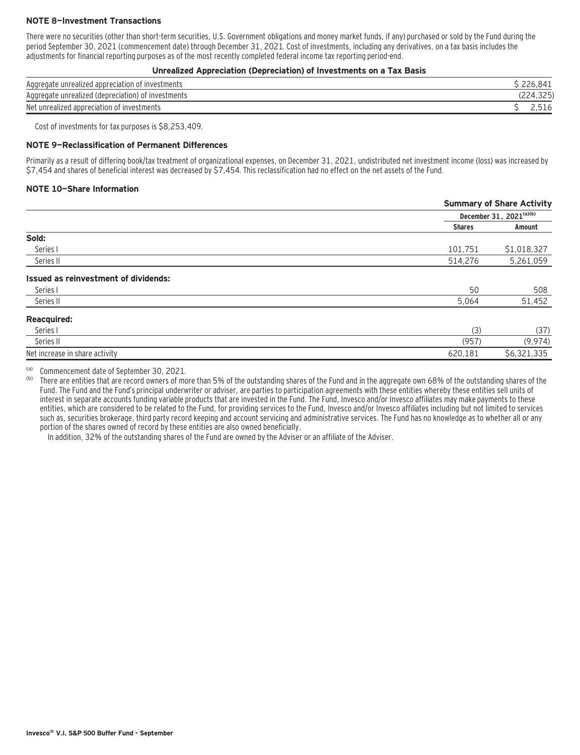### **NOTE 8—Investment Transactions**

There were no securities (other than short-term securities, U.S. Government obligations and money market funds, if any) purchased or sold by the Fund during the period September 30, 2021 (commencement date) through December 31, 2021. Cost of investments, including any derivatives, on a tax basis includes the adjustments for financial reporting purposes as of the most recently completed federal income tax reporting period-end.

#### **Unrealized Appreciation (Depreciation) of Investments on a Tax Basis**

| Aggregate unrealized appreciation of investments   |              |
|----------------------------------------------------|--------------|
| Aggregate unrealized (depreciation) of investments | $\cap$       |
| Net unrealized appreciation of investments         | <u>L.JIU</u> |

Cost of investments for tax purposes is \$8,253,409.

#### **NOTE 9—Reclassification of Permanent Differences**

Primarily as a result of differing book/tax treatment of organizational expenses, on December 31, 2021, undistributed net investment income (loss) was increased by \$7,454 and shares of beneficial interest was decreased by \$7,454. This reclassification had no effect on the net assets of the Fund.

#### **NOTE 10—Share Information**

|                                      | <b>Summary of Share Activity</b> |                         |
|--------------------------------------|----------------------------------|-------------------------|
|                                      |                                  | December 31, 2021(a)(b) |
|                                      | <b>Shares</b>                    | Amount                  |
| Sold:                                |                                  |                         |
| Series I                             | 101,751                          | \$1,018,327             |
| Series II                            | 514,276                          | 5,261,059               |
| Issued as reinvestment of dividends: |                                  |                         |
| Series I                             | 50                               | 508                     |
| Series II                            | 5,064                            | 51,452                  |
| <b>Reacquired:</b>                   |                                  |                         |
| Series I                             | (3)                              | (37)                    |
| Series II                            | (957)                            | (9, 974)                |
| Net increase in share activity       | 620,181                          | \$6,321,335             |

(a) Commencement date of September 30, 2021.

There are entities that are record owners of more than 5% of the outstanding shares of the Fund and in the aggregate own 68% of the outstanding shares of the Fund. The Fund and the Fund's principal underwriter or adviser, are parties to participation agreements with these entities whereby these entities sell units of interest in separate accounts funding variable products that are invested in the Fund. The Fund, Invesco and/or Invesco affiliates may make payments to these entities, which are considered to be related to the Fund, for providing services to the Fund, Invesco and/or Invesco affiliates including but not limited to services such as, securities brokerage, third party record keeping and account servicing and administrative services. The Fund has no knowledge as to whether all or any portion of the shares owned of record by these entities are also owned beneficially.

In addition, 32% of the outstanding shares of the Fund are owned by the Adviser or an affiliate of the Adviser.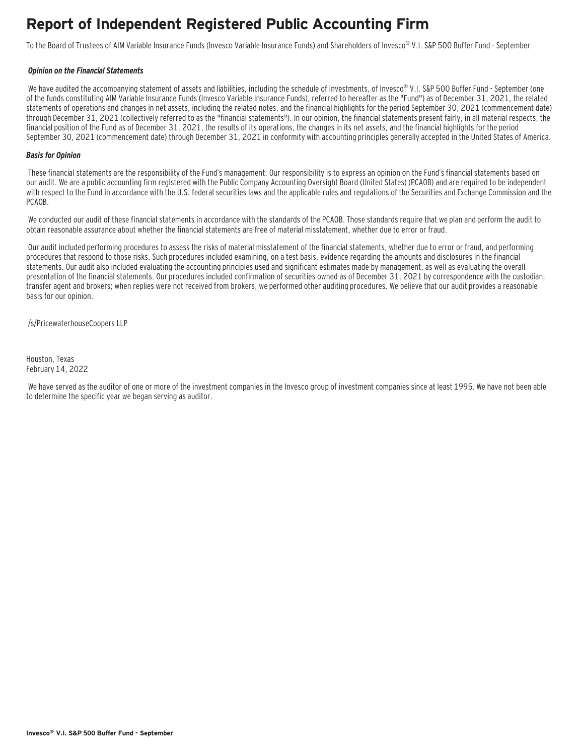# **Report of Independent Registered Public Accounting Firm**

To the Board of Trustees of AIM Variable Insurance Funds (Invesco Variable Insurance Funds) and Shareholders of Invesco® V.I. S&P 500 Buffer Fund - September

#### **Opinion on the Financial Statements**

We have audited the accompanying statement of assets and liabilities, including the schedule of investments, of Invesco® V.I. S&P 500 Buffer Fund - September (one of the funds constituting AIM Variable Insurance Funds (Invesco Variable Insurance Funds), referred to hereafter as the "Fund") as of December 31, 2021, the related statements of operations and changes in net assets, including the related notes, and the financial highlights for the period September 30, 2021 (commencement date) through December 31, 2021 (collectively referred to as the "financial statements"). In our opinion, the financial statements present fairly, in all material respects, the financial position of the Fund as of December 31, 2021, the results of its operations, the changes in its net assets, and the financial highlights for the period September 30, 2021 (commencement date) through December 31, 2021 in conformity with accounting principles generally accepted in the United States of America.

### **Basis for Opinion**

These financial statements are the responsibility of the Fund's management. Our responsibility is to express an opinion on the Fund's financial statements based on our audit. We are a public accounting firm registered with the Public Company Accounting Oversight Board (United States) (PCAOB) and are required to be independent with respect to the Fund in accordance with the U.S. federal securities laws and the applicable rules and regulations of the Securities and Exchange Commission and the PCAOB.

 We conducted our audit of these financial statements in accordance with the standards of the PCAOB. Those standards require that we plan and perform the audit to obtain reasonable assurance about whether the financial statements are free of material misstatement, whether due to error or fraud.

 Our audit included performing procedures to assess the risks of material misstatement of the financial statements, whether due to error or fraud, and performing procedures that respond to those risks. Such procedures included examining, on a test basis, evidence regarding the amounts and disclosures in the financial statements. Our audit also included evaluating the accounting principles used and significant estimates made by management, as well as evaluating the overall presentation of the financial statements. Our procedures included confirmation of securities owned as of December 31, 2021 by correspondence with the custodian, transfer agent and brokers; when replies were not received from brokers, we performed other auditing procedures. We believe that our audit provides a reasonable basis for our opinion.

/s/PricewaterhouseCoopers LLP

Houston, Texas February 14, 2022

 We have served as the auditor of one or more of the investment companies in the Invesco group of investment companies since at least 1995. We have not been able to determine the specific year we began serving as auditor.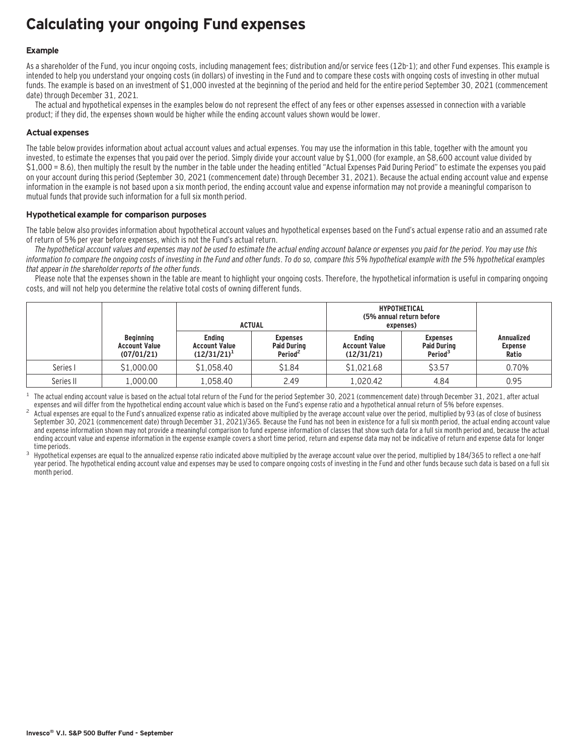# **Calculating your ongoing Fund expenses**

### **Example**

As a shareholder of the Fund, you incur ongoing costs, including management fees; distribution and/or service fees (12b-1); and other Fund expenses. This example is intended to help you understand your ongoing costs (in dollars) of investing in the Fund and to compare these costs with ongoing costs of investing in other mutual funds. The example is based on an investment of \$1,000 invested at the beginning of the period and held for the entire period September 30, 2021 (commencement date) through December 31, 2021.

The actual and hypothetical expenses in the examples below do not represent the effect of any fees or other expenses assessed in connection with a variable product; if they did, the expenses shown would be higher while the ending account values shown would be lower.

### **Actual expenses**

The table below provides information about actual account values and actual expenses. You may use the information in this table, together with the amount you invested, to estimate the expenses that you paid over the period. Simply divide your account value by \$1,000 (for example, an \$8,600 account value divided by \$1,000 = 8.6), then multiply the result by the number in the table under the heading entitled "Actual Expenses Paid During Period" to estimate the expenses you paid on your account during this period (September 30, 2021 (commencement date) through December 31, 2021). Because the actual ending account value and expense information in the example is not based upon a six month period, the ending account value and expense information may not provide a meaningful comparison to mutual funds that provide such information for a full six month period.

### **Hypothetical example for comparison purposes**

The table below also provides information about hypothetical account values and hypothetical expenses based on the Fund's actual expense ratio and an assumed rate of return of 5% per year before expenses, which is not the Fund's actual return.

The hypothetical account values and expenses may not be used to estimate the actual ending account balance or expenses you paid for the period. You may use this information to compare the ongoing costs of investing in the Fund and other funds. To do so, compare this 5% hypothetical example with the 5% hypothetical examples that appear in the shareholder reports of the other funds.

Please note that the expenses shown in the table are meant to highlight your ongoing costs. Therefore, the hypothetical information is useful in comparing ongoing costs, and will not help you determine the relative total costs of owning different funds.

|           |                                                        | <b>HYPOTHETICAL</b><br>(5% annual return before<br><b>ACTUAL</b><br>expenses) |                                                              |                                                     |                                                              |                                              |
|-----------|--------------------------------------------------------|-------------------------------------------------------------------------------|--------------------------------------------------------------|-----------------------------------------------------|--------------------------------------------------------------|----------------------------------------------|
|           | <b>Beginning</b><br><b>Account Value</b><br>(07/01/21) | <b>Endina</b><br><b>Account Value</b><br>$(12/31/21)^1$                       | <b>Expenses</b><br><b>Paid During</b><br>Period <sup>2</sup> | <b>Endina</b><br><b>Account Value</b><br>(12/31/21) | <b>Expenses</b><br><b>Paid During</b><br>Period <sup>3</sup> | <b>Annualized</b><br><b>Expense</b><br>Ratio |
| Series I  | \$1,000.00                                             | \$1,058.40                                                                    | \$1.84                                                       | \$1,021.68                                          | \$3.57                                                       | 0.70%                                        |
| Series II | 1,000.00                                               | 1.058.40                                                                      | 2.49                                                         | 1,020.42                                            | 4.84                                                         | 0.95                                         |

The actual ending account value is based on the actual total return of the Fund for the period September 30, 2021 (commencement date) through December 31, 2021, after actual expenses and will differ from the hypothetical e

Actual expenses are equal to the Fund's annualized expense ratio as indicated above multiplied by the average account value over the period, multiplied by 93 (as of close of business September 30, 2021 (commencement date) through December 31, 2021)/365. Because the Fund has not been in existence for a full six month period, the actual ending account value and expense information shown may not provide a meaningful comparison to fund expense information of classes that show such data for a full six month period and, because the actual ending account value and expense information in the expense example covers a short time period, return and expense data may not be indicative of return and expense data for longer

time periods.<br>Hypothetical expenses are equal to the annualized expense ratio indicated above multiplied by the average account value over the period, multiplied by 184/365 to reflect a one-half year period. The hypothetical ending account value and expenses may be used to compare ongoing costs of investing in the Fund and other funds because such data is based on a full six month period.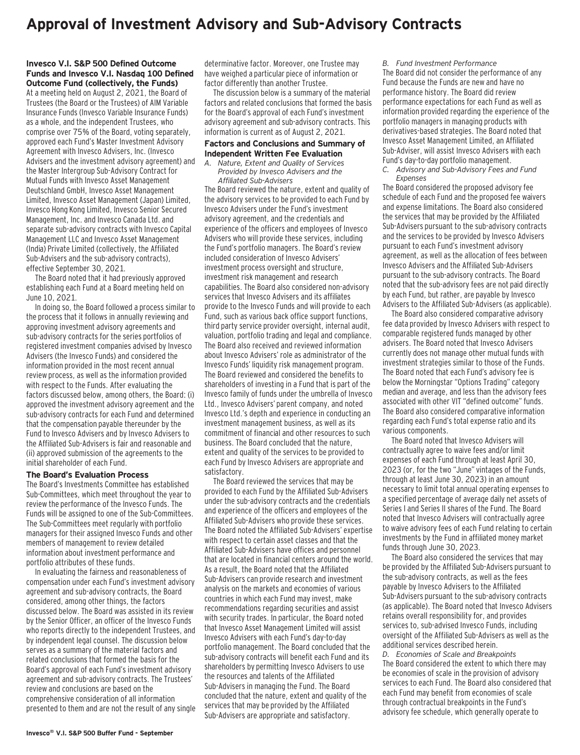### **Approval of Investment Advisory and Sub-Advisory Contracts**

#### **Invesco V.I. S&P 500 Defined Outcome Funds and Invesco V.I. Nasdaq 100 Defined Outcome Fund (collectively, the Funds)**

At a meeting held on August 2, 2021, the Board of Trustees (the Board or the Trustees) of AIM Variable Insurance Funds (Invesco Variable Insurance Funds) as a whole, and the independent Trustees, who comprise over 75% of the Board, voting separately, approved each Fund's Master Investment Advisory Agreement with Invesco Advisers, Inc. (Invesco Advisers and the investment advisory agreement) and the Master Intergroup Sub-Advisory Contract for Mutual Funds with Invesco Asset Management Deutschland GmbH, Invesco Asset Management Limited, Invesco Asset Management (Japan) Limited, Invesco Hong Kong Limited, Invesco Senior Secured Management, Inc. and Invesco Canada Ltd. and separate sub-advisory contracts with Invesco Capital Management LLC and Invesco Asset Management (India) Private Limited (collectively, the Affiliated Sub-Advisers and the sub-advisory contracts), effective September 30, 2021.

The Board noted that it had previously approved establishing each Fund at a Board meeting held on June 10, 2021.

In doing so, the Board followed a process similar to the process that it follows in annually reviewing and approving investment advisory agreements and sub-advisory contracts for the series portfolios of registered investment companies advised by Invesco Advisers (the Invesco Funds) and considered the information provided in the most recent annual review process, as well as the information provided with respect to the Funds. After evaluating the factors discussed below, among others, the Board: (i) approved the investment advisory agreement and the sub-advisory contracts for each Fund and determined that the compensation payable thereunder by the Fund to Invesco Advisers and by Invesco Advisers to the Affiliated Sub-Advisers is fair and reasonable and (ii) approved submission of the agreements to the initial shareholder of each Fund.

#### **The Board's Evaluation Process**

The Board's Investments Committee has established Sub-Committees, which meet throughout the year to review the performance of the Invesco Funds. The Funds will be assigned to one of the Sub-Committees. The Sub-Committees meet regularly with portfolio managers for their assigned Invesco Funds and other members of management to review detailed information about investment performance and portfolio attributes of these funds.

In evaluating the fairness and reasonableness of compensation under each Fund's investment advisory agreement and sub-advisory contracts, the Board considered, among other things, the factors discussed below. The Board was assisted in its review by the Senior Officer, an officer of the Invesco Funds who reports directly to the independent Trustees, and by independent legal counsel. The discussion below serves as a summary of the material factors and related conclusions that formed the basis for the Board's approval of each Fund's investment advisory agreement and sub-advisory contracts. The Trustees' review and conclusions are based on the comprehensive consideration of all information presented to them and are not the result of any single determinative factor. Moreover, one Trustee may have weighed a particular piece of information or factor differently than another Trustee.

The discussion below is a summary of the material factors and related conclusions that formed the basis for the Board's approval of each Fund's investment advisory agreement and sub-advisory contracts. This information is current as of August 2, 2021.

### **Factors and Conclusions and Summary of Independent Written Fee Evaluation**

*A. Nature, Extent and Quality of Services Provided by Invesco Advisers and the Affiliated Sub-Advisers*

The Board reviewed the nature, extent and quality of the advisory services to be provided to each Fund by Invesco Advisers under the Fund's investment advisory agreement, and the credentials and experience of the officers and employees of Invesco Advisers who will provide these services, including the Fund's portfolio managers. The Board's review included consideration of Invesco Advisers' investment process oversight and structure, investment risk management and research capabilities. The Board also considered non-advisory services that Invesco Advisers and its affiliates provide to the Invesco Funds and will provide to each Fund, such as various back office support functions, third party service provider oversight, internal audit, valuation, portfolio trading and legal and compliance. The Board also received and reviewed information about Invesco Advisers' role as administrator of the Invesco Funds' liquidity risk management program. The Board reviewed and considered the benefits to shareholders of investing in a Fund that is part of the Invesco family of funds under the umbrella of Invesco Ltd., Invesco Advisers' parent company, and noted Invesco Ltd.'s depth and experience in conducting an investment management business, as well as its commitment of financial and other resources to such business. The Board concluded that the nature, extent and quality of the services to be provided to each Fund by Invesco Advisers are appropriate and satisfactory.

The Board reviewed the services that may be provided to each Fund by the Affiliated Sub-Advisers under the sub-advisory contracts and the credentials and experience of the officers and employees of the Affiliated Sub-Advisers who provide these services. The Board noted the Affiliated Sub-Advisers' expertise with respect to certain asset classes and that the Affiliated Sub-Advisers have offices and personnel that are located in financial centers around the world. As a result, the Board noted that the Affiliated Sub-Advisers can provide research and investment analysis on the markets and economies of various countries in which each Fund may invest, make recommendations regarding securities and assist with security trades. In particular, the Board noted that Invesco Asset Management Limited will assist Invesco Advisers with each Fund's day-to-day portfolio management. The Board concluded that the sub-advisory contracts will benefit each Fund and its shareholders by permitting Invesco Advisers to use the resources and talents of the Affiliated Sub-Advisers in managing the Fund. The Board concluded that the nature, extent and quality of the services that may be provided by the Affiliated Sub-Advisers are appropriate and satisfactory.

*B. Fund Investment Performance*

The Board did not consider the performance of any Fund because the Funds are new and have no performance history. The Board did review performance expectations for each Fund as well as information provided regarding the experience of the portfolio managers in managing products with derivatives-based strategies. The Board noted that Invesco Asset Management Limited, an Affiliated Sub-Adviser, will assist Invesco Advisers with each Fund's day-to-day portfolio management.

*C. Advisory and Sub-Advisory Fees and Fund Expenses*

The Board considered the proposed advisory fee schedule of each Fund and the proposed fee waivers and expense limitations. The Board also considered the services that may be provided by the Affiliated Sub-Advisers pursuant to the sub-advisory contracts and the services to be provided by Invesco Advisers pursuant to each Fund's investment advisory agreement, as well as the allocation of fees between Invesco Advisers and the Affiliated Sub-Advisers pursuant to the sub-advisory contracts. The Board noted that the sub-advisory fees are not paid directly by each Fund, but rather, are payable by Invesco Advisers to the Affiliated Sub-Advisers (as applicable).

The Board also considered comparative advisory fee data provided by Invesco Advisers with respect to comparable registered funds managed by other advisers. The Board noted that Invesco Advisers currently does not manage other mutual funds with investment strategies similar to those of the Funds. The Board noted that each Fund's advisory fee is below the Morningstar "Options Trading" category median and average, and less than the advisory fees associated with other VIT "defined outcome" funds. The Board also considered comparative information regarding each Fund's total expense ratio and its various components.

The Board noted that Invesco Advisers will contractually agree to waive fees and/or limit expenses of each Fund through at least April 30, 2023 (or, for the two "June" vintages of the Funds, through at least June 30, 2023) in an amount necessary to limit total annual operating expenses to a specified percentage of average daily net assets of Series I and Series II shares of the Fund. The Board noted that Invesco Advisers will contractually agree to waive advisory fees of each Fund relating to certain investments by the Fund in affiliated money market funds through June 30, 2023.

The Board also considered the services that may be provided by the Affiliated Sub-Advisers pursuant to the sub-advisory contracts, as well as the fees payable by Invesco Advisers to the Affiliated Sub-Advisers pursuant to the sub-advisory contracts (as applicable). The Board noted that Invesco Advisers retains overall responsibility for, and provides services to, sub-advised Invesco Funds, including oversight of the Affiliated Sub-Advisers as well as the additional services described herein.

*D. Economies of Scale and Breakpoints* The Board considered the extent to which there may be economies of scale in the provision of advisory services to each Fund. The Board also considered that each Fund may benefit from economies of scale through contractual breakpoints in the Fund's advisory fee schedule, which generally operate to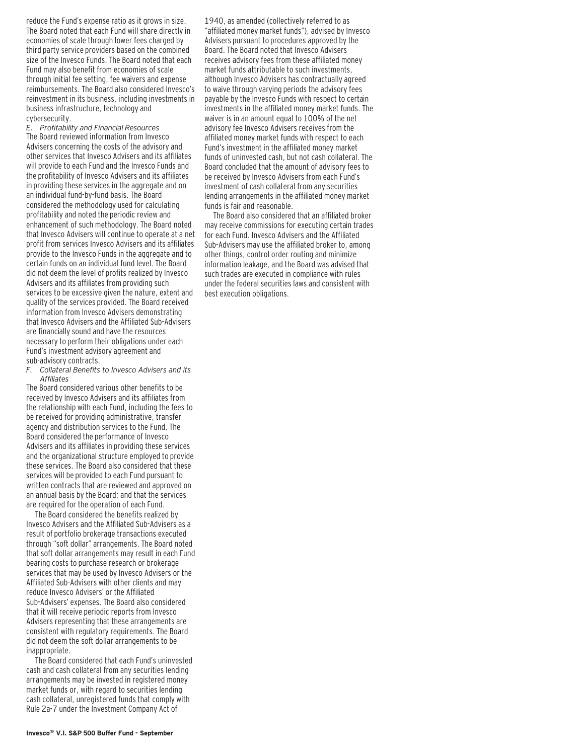reduce the Fund's expense ratio as it grows in size. The Board noted that each Fund will share directly in economies of scale through lower fees charged by third party service providers based on the combined size of the Invesco Funds. The Board noted that each Fund may also benefit from economies of scale through initial fee setting, fee waivers and expense reimbursements. The Board also considered Invesco's reinvestment in its business, including investments in business infrastructure, technology and cybersecurity.

*E. Profitability and Financial Resources* The Board reviewed information from Invesco Advisers concerning the costs of the advisory and other services that Invesco Advisers and its affiliates will provide to each Fund and the Invesco Funds and the profitability of Invesco Advisers and its affiliates in providing these services in the aggregate and on an individual fund-by-fund basis. The Board considered the methodology used for calculating profitability and noted the periodic review and enhancement of such methodology. The Board noted that Invesco Advisers will continue to operate at a net profit from services Invesco Advisers and its affiliates provide to the Invesco Funds in the aggregate and to certain funds on an individual fund level. The Board did not deem the level of profits realized by Invesco Advisers and its affiliates from providing such services to be excessive given the nature, extent and quality of the services provided. The Board received information from Invesco Advisers demonstrating that Invesco Advisers and the Affiliated Sub-Advisers are financially sound and have the resources necessary to perform their obligations under each Fund's investment advisory agreement and sub-advisory contracts.

*F. Collateral Benefits to Invesco Advisers and its Affiliates*

The Board considered various other benefits to be received by Invesco Advisers and its affiliates from the relationship with each Fund, including the fees to be received for providing administrative, transfer agency and distribution services to the Fund. The Board considered the performance of Invesco Advisers and its affiliates in providing these services and the organizational structure employed to provide these services. The Board also considered that these services will be provided to each Fund pursuant to written contracts that are reviewed and approved on an annual basis by the Board; and that the services are required for the operation of each Fund.

The Board considered the benefits realized by Invesco Advisers and the Affiliated Sub-Advisers as a result of portfolio brokerage transactions executed through "soft dollar" arrangements. The Board noted that soft dollar arrangements may result in each Fund bearing costs to purchase research or brokerage services that may be used by Invesco Advisers or the Affiliated Sub-Advisers with other clients and may reduce Invesco Advisers' or the Affiliated Sub-Advisers' expenses. The Board also considered that it will receive periodic reports from Invesco Advisers representing that these arrangements are consistent with regulatory requirements. The Board did not deem the soft dollar arrangements to be inappropriate.

The Board considered that each Fund's uninvested cash and cash collateral from any securities lending arrangements may be invested in registered money market funds or, with regard to securities lending cash collateral, unregistered funds that comply with Rule 2a-7 under the Investment Company Act of

1940, as amended (collectively referred to as "affiliated money market funds"), advised by Invesco Advisers pursuant to procedures approved by the Board. The Board noted that Invesco Advisers receives advisory fees from these affiliated money market funds attributable to such investments, although Invesco Advisers has contractually agreed to waive through varying periods the advisory fees payable by the Invesco Funds with respect to certain investments in the affiliated money market funds. The waiver is in an amount equal to 100% of the net advisory fee Invesco Advisers receives from the affiliated money market funds with respect to each Fund's investment in the affiliated money market funds of uninvested cash, but not cash collateral. The Board concluded that the amount of advisory fees to be received by Invesco Advisers from each Fund's investment of cash collateral from any securities lending arrangements in the affiliated money market funds is fair and reasonable.

The Board also considered that an affiliated broker may receive commissions for executing certain trades for each Fund. Invesco Advisers and the Affiliated Sub-Advisers may use the affiliated broker to, among other things, control order routing and minimize information leakage, and the Board was advised that such trades are executed in compliance with rules under the federal securities laws and consistent with best execution obligations.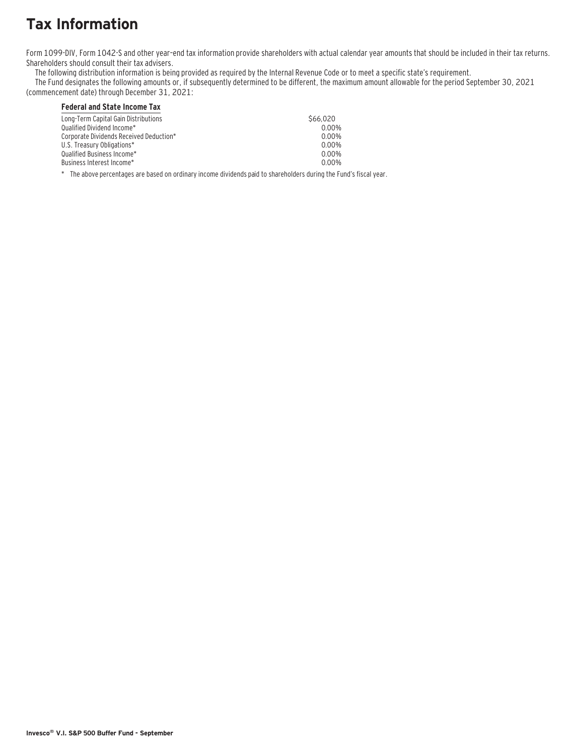# **Tax Information**

Form 1099-DIV, Form 1042-S and other year–end tax information provide shareholders with actual calendar year amounts that should be included in their tax returns. Shareholders should consult their tax advisers.

The following distribution information is being provided as required by the Internal Revenue Code or to meet a specific state's requirement.

The Fund designates the following amounts or, if subsequently determined to be different, the maximum amount allowable for the period September 30, 2021 (commencement date) through December 31, 2021:

### **Federal and State Income Tax**

| Long-Term Capital Gain Distributions<br>Qualified Dividend Income*<br>Corporate Dividends Received Deduction* |          |
|---------------------------------------------------------------------------------------------------------------|----------|
|                                                                                                               | \$66,020 |
|                                                                                                               | $0.00\%$ |
| U.S. Treasury Obligations*<br>Qualified Business Income*<br>Business Interest Income*                         | $0.00\%$ |
|                                                                                                               | $0.00\%$ |
|                                                                                                               | $0.00\%$ |
|                                                                                                               | 0.00%    |

\* The above percentages are based on ordinary income dividends paid to shareholders during the Fund's fiscal year.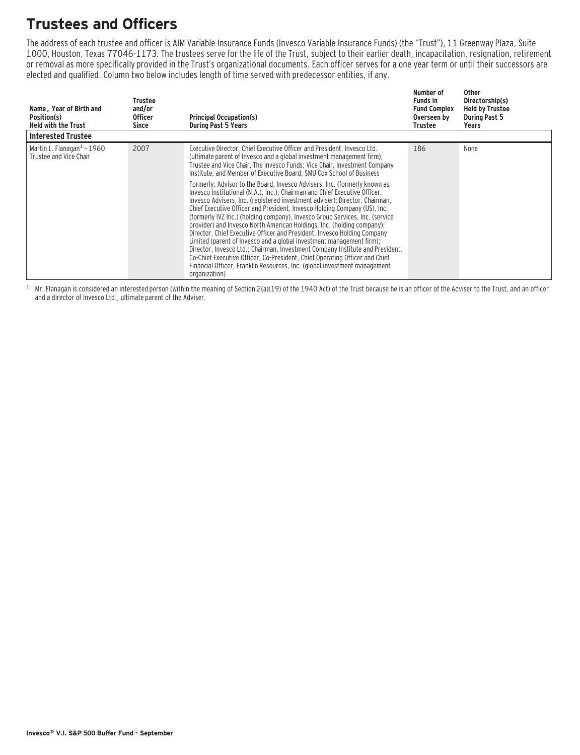# **Trustees and Officers**

The address of each trustee and officer is AIM Variable Insurance Funds (Invesco Variable Insurance Funds) (the "Trust"), 11 Greenway Plaza, Suite 1000, Houston, Texas 77046-1173. The trustees serve for the life of the Trust, subject to their earlier death, incapacitation, resignation, retirement or removal as more specifically provided in the Trust's organizational documents. Each officer serves for a one year term or until their successors are elected and qualified. Column two below includes length of time served with predecessor entities, if any.

| Name, Year of Birth and<br>Position(s)<br><b>Held with the Trust</b> | Trustee<br>and/or<br><b>Officer</b><br>Since | <b>Principal Occupation(s)</b><br><b>During Past 5 Years</b>                                                                                                                                                                                                                                                                                                                                                                                                                                                                                                                                                                                                                                                                                                                                                                                                                                                                                                                                                                                                                                                                                                                                             | Number of<br><b>Funds in</b><br><b>Fund Complex</b><br>Overseen by<br>Trustee | <b>Other</b><br>Directorship(s)<br><b>Held by Trustee</b><br><b>During Past 5</b><br>Years |
|----------------------------------------------------------------------|----------------------------------------------|----------------------------------------------------------------------------------------------------------------------------------------------------------------------------------------------------------------------------------------------------------------------------------------------------------------------------------------------------------------------------------------------------------------------------------------------------------------------------------------------------------------------------------------------------------------------------------------------------------------------------------------------------------------------------------------------------------------------------------------------------------------------------------------------------------------------------------------------------------------------------------------------------------------------------------------------------------------------------------------------------------------------------------------------------------------------------------------------------------------------------------------------------------------------------------------------------------|-------------------------------------------------------------------------------|--------------------------------------------------------------------------------------------|
| <b>Interested Trustee</b>                                            |                                              |                                                                                                                                                                                                                                                                                                                                                                                                                                                                                                                                                                                                                                                                                                                                                                                                                                                                                                                                                                                                                                                                                                                                                                                                          |                                                                               |                                                                                            |
| Martin L. Flanagan $1$ – 1960<br>Trustee and Vice Chair              | 2007                                         | Executive Director, Chief Executive Officer and President, Invesco Ltd.<br>(ultimate parent of Invesco and a global investment management firm);<br>Trustee and Vice Chair, The Invesco Funds; Vice Chair, Investment Company<br>Institute; and Member of Executive Board, SMU Cox School of Business<br>Formerly: Advisor to the Board, Invesco Advisers, Inc. (formerly known as<br>Invesco Institutional (N.A.), Inc.): Chairman and Chief Executive Officer.<br>Invesco Advisers, Inc. (registered investment adviser); Director, Chairman,<br>Chief Executive Officer and President, Invesco Holding Company (US), Inc.<br>(formerly IVZ Inc.) (holding company), Invesco Group Services, Inc. (service<br>provider) and Invesco North American Holdings, Inc. (holding company);<br>Director, Chief Executive Officer and President, Invesco Holding Company<br>Limited (parent of Invesco and a global investment management firm);<br>Director, Invesco Ltd.; Chairman, Investment Company Institute and President,<br>Co-Chief Executive Officer, Co-President, Chief Operating Officer and Chief<br>Financial Officer, Franklin Resources, Inc. (global investment management<br>organization) | 186                                                                           | None                                                                                       |

 $1$  Mr. Flanagan is considered an interested person (within the meaning of Section 2(a)(19) of the 1940 Act) of the Trust because he is an officer of the Adviser to the Trust, and an officer and a director of Invesco Ltd., ultimate parent of the Adviser.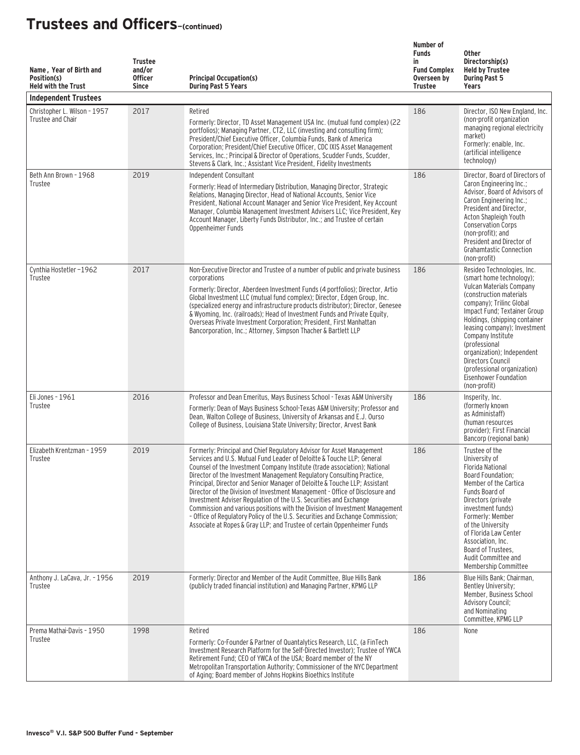| Name, Year of Birth and<br>Position(s)<br><b>Held with the Trust</b><br><b>Independent Trustees</b> | <b>Trustee</b><br>and/or<br><b>Officer</b><br><b>Since</b> | <b>Principal Occupation(s)</b><br><b>During Past 5 Years</b>                                                                                                                                                                                                                                                                                                                                                                                                                                                                                                                                                                                                                                                                                                                        | Number of<br><b>Funds</b><br>in<br><b>Fund Complex</b><br>Overseen by<br><b>Trustee</b> | <b>Other</b><br>Directorship(s)<br><b>Held by Trustee</b><br><b>During Past 5</b><br>Years                                                                                                                                                                                                                                                                                                                   |
|-----------------------------------------------------------------------------------------------------|------------------------------------------------------------|-------------------------------------------------------------------------------------------------------------------------------------------------------------------------------------------------------------------------------------------------------------------------------------------------------------------------------------------------------------------------------------------------------------------------------------------------------------------------------------------------------------------------------------------------------------------------------------------------------------------------------------------------------------------------------------------------------------------------------------------------------------------------------------|-----------------------------------------------------------------------------------------|--------------------------------------------------------------------------------------------------------------------------------------------------------------------------------------------------------------------------------------------------------------------------------------------------------------------------------------------------------------------------------------------------------------|
| Christopher L. Wilson - 1957<br>Trustee and Chair                                                   | 2017                                                       | Retired<br>Formerly: Director, TD Asset Management USA Inc. (mutual fund complex) (22<br>portfolios); Managing Partner, CT2, LLC (investing and consulting firm);<br>President/Chief Executive Officer, Columbia Funds, Bank of America<br>Corporation; President/Chief Executive Officer, CDC IXIS Asset Management<br>Services, Inc.; Principal & Director of Operations, Scudder Funds, Scudder,<br>Stevens & Clark, Inc.; Assistant Vice President, Fidelity Investments                                                                                                                                                                                                                                                                                                        | 186                                                                                     | Director, ISO New England, Inc.<br>(non-profit organization<br>managing regional electricity<br>market)<br>Formerly: enaible, Inc.<br>(artificial intelligence<br>technology)                                                                                                                                                                                                                                |
| Beth Ann Brown - 1968<br>Trustee                                                                    | 2019                                                       | Independent Consultant<br>Formerly: Head of Intermediary Distribution, Managing Director, Strategic<br>Relations, Managing Director, Head of National Accounts, Senior Vice<br>President, National Account Manager and Senior Vice President, Key Account<br>Manager, Columbia Management Investment Advisers LLC; Vice President, Key<br>Account Manager, Liberty Funds Distributor, Inc.; and Trustee of certain<br>Oppenheimer Funds                                                                                                                                                                                                                                                                                                                                             | 186                                                                                     | Director, Board of Directors of<br>Caron Engineering Inc.;<br>Advisor, Board of Advisors of<br>Caron Engineering Inc.;<br>President and Director,<br>Acton Shapleigh Youth<br><b>Conservation Corps</b><br>(non-profit); and<br>President and Director of<br><b>Grahamtastic Connection</b><br>(non-profit)                                                                                                  |
| Cynthia Hostetler-1962<br>Trustee                                                                   | 2017                                                       | Non-Executive Director and Trustee of a number of public and private business<br>corporations<br>Formerly: Director, Aberdeen Investment Funds (4 portfolios); Director, Artio<br>Global Investment LLC (mutual fund complex); Director, Edgen Group, Inc.<br>(specialized energy and infrastructure products distributor); Director, Genesee<br>& Wyoming, Inc. (railroads); Head of Investment Funds and Private Equity,<br>Overseas Private Investment Corporation; President, First Manhattan<br>Bancorporation, Inc.; Attorney, Simpson Thacher & Bartlett LLP                                                                                                                                                                                                                 | 186                                                                                     | Resideo Technologies, Inc.<br>(smart home technology);<br>Vulcan Materials Company<br>(construction materials)<br>company); Trilinc Global<br>Impact Fund; Textainer Group<br>Holdings, (shipping container<br>leasing company); Investment<br>Company Institute<br>(professional<br>organization); Independent<br>Directors Council<br>(professional organization)<br>Eisenhower Foundation<br>(non-profit) |
| Eli Jones - 1961<br>Trustee                                                                         | 2016                                                       | Professor and Dean Emeritus, Mays Business School - Texas A&M University<br>Formerly: Dean of Mays Business School-Texas A&M University; Professor and<br>Dean, Walton College of Business, University of Arkansas and E.J. Ourso<br>College of Business, Louisiana State University; Director, Arvest Bank                                                                                                                                                                                                                                                                                                                                                                                                                                                                         | 186                                                                                     | Insperity, Inc.<br>(formerly known)<br>as Administaff)<br>(human resources<br>provider): First Financial<br>Bancorp (regional bank)                                                                                                                                                                                                                                                                          |
| Elizabeth Krentzman - 1959<br>Trustee                                                               | 2019                                                       | Formerly: Principal and Chief Regulatory Advisor for Asset Management<br>Services and U.S. Mutual Fund Leader of Deloitte & Touche LLP: General<br>Counsel of the Investment Company Institute (trade association); National<br>Director of the Investment Management Regulatory Consulting Practice,<br>Principal, Director and Senior Manager of Deloitte & Touche LLP; Assistant<br>Director of the Division of Investment Management - Office of Disclosure and<br>Investment Adviser Regulation of the U.S. Securities and Exchange<br>Commission and various positions with the Division of Investment Management<br>- Office of Regulatory Policy of the U.S. Securities and Exchange Commission;<br>Associate at Ropes & Gray LLP; and Trustee of certain Oppenheimer Funds | 186                                                                                     | Trustee of the<br>University of<br><b>Florida National</b><br>Board Foundation;<br>Member of the Cartica<br>Funds Board of<br>Directors (private<br>investment funds)<br>Formerly: Member<br>of the University<br>of Florida Law Center<br>Association, Inc.<br>Board of Trustees,<br>Audit Committee and<br>Membership Committee                                                                            |
| Anthony J. LaCava, Jr. - 1956<br>Trustee                                                            | 2019                                                       | Formerly: Director and Member of the Audit Committee, Blue Hills Bank<br>(publicly traded financial institution) and Managing Partner, KPMG LLP                                                                                                                                                                                                                                                                                                                                                                                                                                                                                                                                                                                                                                     | 186                                                                                     | Blue Hills Bank; Chairman,<br>Bentley University;<br>Member, Business School<br><b>Advisory Council;</b><br>and Nominating<br>Committee, KPMG LLP                                                                                                                                                                                                                                                            |
| Prema Mathai-Davis - 1950<br>Trustee                                                                | 1998                                                       | Retired<br>Formerly: Co-Founder & Partner of Quantalytics Research, LLC, (a FinTech<br>Investment Research Platform for the Self-Directed Investor); Trustee of YWCA<br>Retirement Fund; CEO of YWCA of the USA; Board member of the NY<br>Metropolitan Transportation Authority; Commissioner of the NYC Department<br>of Aging; Board member of Johns Hopkins Bioethics Institute                                                                                                                                                                                                                                                                                                                                                                                                 | 186                                                                                     | None                                                                                                                                                                                                                                                                                                                                                                                                         |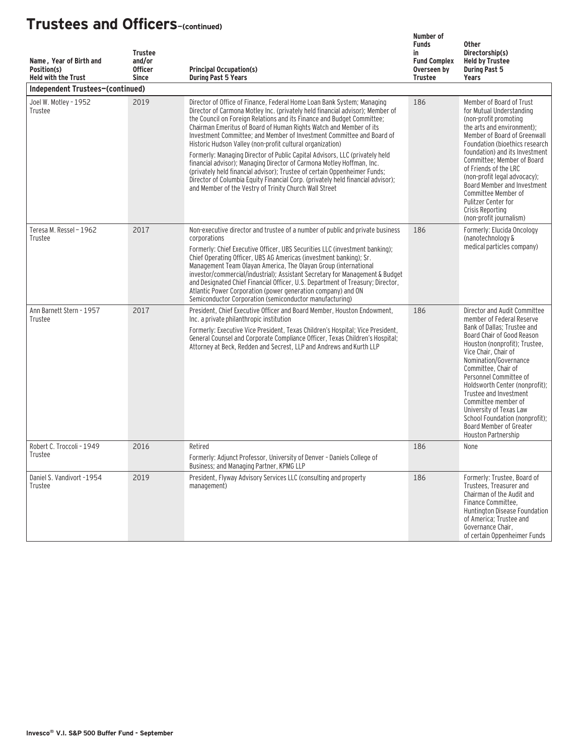| Name, Year of Birth and<br>Position(s)<br><b>Held with the Trust</b> | <b>Trustee</b><br>and/or<br><b>Officer</b><br><b>Since</b> | <b>Principal Occupation(s)</b><br><b>During Past 5 Years</b>                                                                                                                                                                                                                                                                                                                                                                                                                                                                                                                                                                                                                                                                                                                                                                    | Number of<br><b>Funds</b><br>in<br><b>Fund Complex</b><br>Overseen by<br><b>Trustee</b> | <b>Other</b><br>Directorship(s)<br><b>Held by Trustee</b><br><b>During Past 5</b><br>Years                                                                                                                                                                                                                                                                                                                                                                  |
|----------------------------------------------------------------------|------------------------------------------------------------|---------------------------------------------------------------------------------------------------------------------------------------------------------------------------------------------------------------------------------------------------------------------------------------------------------------------------------------------------------------------------------------------------------------------------------------------------------------------------------------------------------------------------------------------------------------------------------------------------------------------------------------------------------------------------------------------------------------------------------------------------------------------------------------------------------------------------------|-----------------------------------------------------------------------------------------|-------------------------------------------------------------------------------------------------------------------------------------------------------------------------------------------------------------------------------------------------------------------------------------------------------------------------------------------------------------------------------------------------------------------------------------------------------------|
| Independent Trustees-(continued)                                     |                                                            |                                                                                                                                                                                                                                                                                                                                                                                                                                                                                                                                                                                                                                                                                                                                                                                                                                 |                                                                                         |                                                                                                                                                                                                                                                                                                                                                                                                                                                             |
| Joel W. Motley - 1952<br>Trustee                                     | 2019                                                       | Director of Office of Finance, Federal Home Loan Bank System; Managing<br>Director of Carmona Motley Inc. (privately held financial advisor); Member of<br>the Council on Foreign Relations and its Finance and Budget Committee;<br>Chairman Emeritus of Board of Human Rights Watch and Member of its<br>Investment Committee; and Member of Investment Committee and Board of<br>Historic Hudson Valley (non-profit cultural organization)<br>Formerly: Managing Director of Public Capital Advisors, LLC (privately held<br>financial advisor); Managing Director of Carmona Motley Hoffman, Inc.<br>(privately held financial advisor); Trustee of certain Oppenheimer Funds;<br>Director of Columbia Equity Financial Corp. (privately held financial advisor);<br>and Member of the Vestry of Trinity Church Wall Street | 186                                                                                     | Member of Board of Trust<br>for Mutual Understanding<br>(non-profit promoting<br>the arts and environment);<br>Member of Board of Greenwall<br>Foundation (bioethics research<br>foundation) and its Investment<br>Committee; Member of Board<br>of Friends of the LRC<br>(non-profit legal advocacy);<br>Board Member and Investment<br>Committee Member of<br>Pulitzer Center for<br>Crisis Reporting<br>(non-profit journalism)                          |
| Teresa M. Ressel - 1962<br>Trustee                                   | 2017                                                       | Non-executive director and trustee of a number of public and private business<br>corporations<br>Formerly: Chief Executive Officer. UBS Securities LLC (investment banking):<br>Chief Operating Officer, UBS AG Americas (investment banking); Sr.<br>Management Team Olayan America, The Olayan Group (international<br>investor/commercial/industrial); Assistant Secretary for Management & Budget<br>and Designated Chief Financial Officer, U.S. Department of Treasury; Director,<br>Atlantic Power Corporation (power generation company) and ON<br>Semiconductor Corporation (semiconductor manufacturing)                                                                                                                                                                                                              | 186                                                                                     | Formerly: Elucida Oncology<br>(nanotechnology &<br>medical particles company)                                                                                                                                                                                                                                                                                                                                                                               |
| Ann Barnett Stern - 1957<br>Trustee                                  | 2017                                                       | President, Chief Executive Officer and Board Member, Houston Endowment.<br>Inc. a private philanthropic institution<br>Formerly: Executive Vice President, Texas Children's Hospital; Vice President,<br>General Counsel and Corporate Compliance Officer, Texas Children's Hospital;<br>Attorney at Beck, Redden and Secrest, LLP and Andrews and Kurth LLP                                                                                                                                                                                                                                                                                                                                                                                                                                                                    | 186                                                                                     | Director and Audit Committee<br>member of Federal Reserve<br>Bank of Dallas; Trustee and<br>Board Chair of Good Reason<br>Houston (nonprofit); Trustee,<br>Vice Chair, Chair of<br>Nomination/Governance<br>Committee, Chair of<br>Personnel Committee of<br>Holdsworth Center (nonprofit);<br>Trustee and Investment<br>Committee member of<br>University of Texas Law<br>School Foundation (nonprofit):<br>Board Member of Greater<br>Houston Partnership |
| Robert C. Troccoli - 1949<br>Trustee                                 | 2016                                                       | Retired<br>Formerly: Adjunct Professor, University of Denver - Daniels College of<br>Business; and Managing Partner, KPMG LLP                                                                                                                                                                                                                                                                                                                                                                                                                                                                                                                                                                                                                                                                                                   | 186                                                                                     | None                                                                                                                                                                                                                                                                                                                                                                                                                                                        |
| Daniel S. Vandivort -1954<br>Trustee                                 | 2019                                                       | President, Flyway Advisory Services LLC (consulting and property<br>management)                                                                                                                                                                                                                                                                                                                                                                                                                                                                                                                                                                                                                                                                                                                                                 | 186                                                                                     | Formerly: Trustee, Board of<br>Trustees, Treasurer and<br>Chairman of the Audit and<br>Finance Committee.<br>Huntington Disease Foundation<br>of America; Trustee and<br>Governance Chair,<br>of certain Oppenheimer Funds                                                                                                                                                                                                                                  |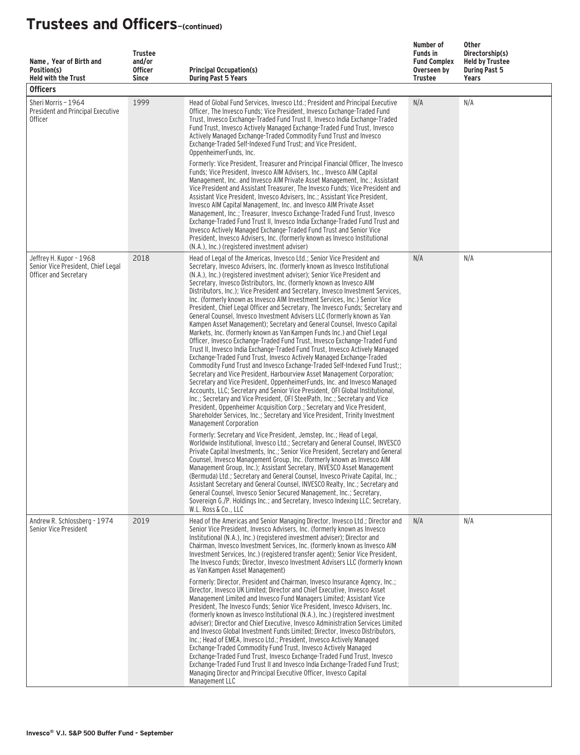| Name, Year of Birth and<br>Position(s)<br><b>Held with the Trust</b><br><b>Officers</b> | <b>Trustee</b><br>and/or<br><b>Officer</b><br><b>Since</b> | <b>Principal Occupation(s)</b><br><b>During Past 5 Years</b>                                                                                                                                                                                                                                                                                                                                                                                                                                                                                                                                                                                                                                                                                                                                                                                                                                                                                                                                                                                                                                                                                                                                                                                                                                                                                                                                                                                                                                                                                                                                                                 | Number of<br><b>Funds in</b><br><b>Fund Complex</b><br>Overseen by<br><b>Trustee</b> | Other<br>Directorship(s)<br><b>Held by Trustee</b><br><b>During Past 5</b><br><b>Years</b> |
|-----------------------------------------------------------------------------------------|------------------------------------------------------------|------------------------------------------------------------------------------------------------------------------------------------------------------------------------------------------------------------------------------------------------------------------------------------------------------------------------------------------------------------------------------------------------------------------------------------------------------------------------------------------------------------------------------------------------------------------------------------------------------------------------------------------------------------------------------------------------------------------------------------------------------------------------------------------------------------------------------------------------------------------------------------------------------------------------------------------------------------------------------------------------------------------------------------------------------------------------------------------------------------------------------------------------------------------------------------------------------------------------------------------------------------------------------------------------------------------------------------------------------------------------------------------------------------------------------------------------------------------------------------------------------------------------------------------------------------------------------------------------------------------------------|--------------------------------------------------------------------------------------|--------------------------------------------------------------------------------------------|
| Sheri Morris - 1964<br>President and Principal Executive<br><b>Officer</b>              | 1999                                                       | Head of Global Fund Services, Invesco Ltd.; President and Principal Executive<br>Officer, The Invesco Funds; Vice President, Invesco Exchange-Traded Fund<br>Trust, Invesco Exchange-Traded Fund Trust II, Invesco India Exchange-Traded<br>Fund Trust, Invesco Actively Managed Exchange-Traded Fund Trust, Invesco<br>Actively Managed Exchange-Traded Commodity Fund Trust and Invesco<br>Exchange-Traded Self-Indexed Fund Trust; and Vice President,<br>OppenheimerFunds, Inc.<br>Formerly: Vice President, Treasurer and Principal Financial Officer, The Invesco<br>Funds; Vice President, Invesco AIM Advisers, Inc., Invesco AIM Capital<br>Management, Inc. and Invesco AIM Private Asset Management, Inc.; Assistant<br>Vice President and Assistant Treasurer, The Invesco Funds; Vice President and<br>Assistant Vice President, Invesco Advisers, Inc.; Assistant Vice President,<br>Invesco AIM Capital Management, Inc. and Invesco AIM Private Asset<br>Management, Inc.; Treasurer, Invesco Exchange-Traded Fund Trust, Invesco<br>Exchange-Traded Fund Trust II, Invesco India Exchange-Traded Fund Trust and<br>Invesco Actively Managed Exchange-Traded Fund Trust and Senior Vice<br>President, Invesco Advisers, Inc. (formerly known as Invesco Institutional<br>(N.A.), Inc.) (registered investment adviser)                                                                                                                                                                                                                                                                                       | N/A                                                                                  | N/A                                                                                        |
| Jeffrey H. Kupor - 1968<br>Senior Vice President, Chief Legal<br>Officer and Secretary  | 2018                                                       | Head of Legal of the Americas, Invesco Ltd.; Senior Vice President and<br>Secretary, Invesco Advisers, Inc. (formerly known as Invesco Institutional<br>(N.A.), Inc.) (registered investment adviser); Senior Vice President and<br>Secretary, Invesco Distributors, Inc. (formerly known as Invesco AIM<br>Distributors, Inc.); Vice President and Secretary, Invesco Investment Services,<br>Inc. (formerly known as Invesco AIM Investment Services, Inc.) Senior Vice<br>President, Chief Legal Officer and Secretary, The Invesco Funds; Secretary and<br>General Counsel, Invesco Investment Advisers LLC (formerly known as Van<br>Kampen Asset Management); Secretary and General Counsel, Invesco Capital<br>Markets, Inc. (formerly known as Van Kampen Funds Inc.) and Chief Legal<br>Officer, Invesco Exchange-Traded Fund Trust, Invesco Exchange-Traded Fund<br>Trust II, Invesco India Exchange-Traded Fund Trust, Invesco Actively Managed<br>Exchange-Traded Fund Trust, Invesco Actively Managed Exchange-Traded<br>Commodity Fund Trust and Invesco Exchange-Traded Self-Indexed Fund Trust;;<br>Secretary and Vice President, Harbourview Asset Management Corporation;<br>Secretary and Vice President, OppenheimerFunds, Inc. and Invesco Managed<br>Accounts, LLC; Secretary and Senior Vice President, OFI Global Institutional,<br>Inc.; Secretary and Vice President, OFI SteelPath, Inc.; Secretary and Vice<br>President, Oppenheimer Acquisition Corp.; Secretary and Vice President,<br>Shareholder Services, Inc.; Secretary and Vice President, Trinity Investment<br>Management Corporation | N/A                                                                                  | N/A                                                                                        |
|                                                                                         |                                                            | Formerly: Secretary and Vice President, Jemstep, Inc.; Head of Legal,<br>Worldwide Institutional, Invesco Ltd.; Secretary and General Counsel, INVESCO<br>Private Capital Investments, Inc.; Senior Vice President, Secretary and General<br>Counsel, Invesco Management Group, Inc. (formerly known as Invesco AIM<br>Management Group, Inc.); Assistant Secretary, INVESCO Asset Management<br>(Bermuda) Ltd.; Secretary and General Counsel, Invesco Private Capital, Inc.;<br>Assistant Secretary and General Counsel, INVESCO Realty, Inc.; Secretary and<br>General Counsel, Invesco Senior Secured Management, Inc.; Secretary,<br>Sovereign G./P. Holdings Inc.; and Secretary, Invesco Indexing LLC; Secretary,<br>W.L. Ross & Co., LLC                                                                                                                                                                                                                                                                                                                                                                                                                                                                                                                                                                                                                                                                                                                                                                                                                                                                             |                                                                                      |                                                                                            |
| Andrew R. Schlossberg - 1974<br>Senior Vice President                                   | 2019                                                       | Head of the Americas and Senior Managing Director, Invesco Ltd.; Director and<br>Senior Vice President, Invesco Advisers, Inc. (formerly known as Invesco<br>Institutional (N.A.), Inc.) (registered investment adviser); Director and<br>Chairman, Invesco Investment Services, Inc. (formerly known as Invesco AIM<br>Investment Services, Inc.) (registered transfer agent); Senior Vice President,<br>The Invesco Funds; Director, Invesco Investment Advisers LLC (formerly known<br>as Van Kampen Asset Management)<br>Formerly: Director, President and Chairman, Invesco Insurance Agency, Inc.:<br>Director, Invesco UK Limited; Director and Chief Executive, Invesco Asset<br>Management Limited and Invesco Fund Managers Limited; Assistant Vice<br>President, The Invesco Funds; Senior Vice President, Invesco Advisers, Inc.<br>(formerly known as Invesco Institutional (N.A.), Inc.) (registered investment<br>adviser); Director and Chief Executive, Invesco Administration Services Limited<br>and Invesco Global Investment Funds Limited: Director, Invesco Distributors,<br>Inc.; Head of EMEA, Invesco Ltd.; President, Invesco Actively Managed<br>Exchange-Traded Commodity Fund Trust, Invesco Actively Managed<br>Exchange-Traded Fund Trust, Invesco Exchange-Traded Fund Trust, Invesco<br>Exchange-Traded Fund Trust II and Invesco India Exchange-Traded Fund Trust;<br>Managing Director and Principal Executive Officer, Invesco Capital<br>Management LLC                                                                                                                                | N/A                                                                                  | N/A                                                                                        |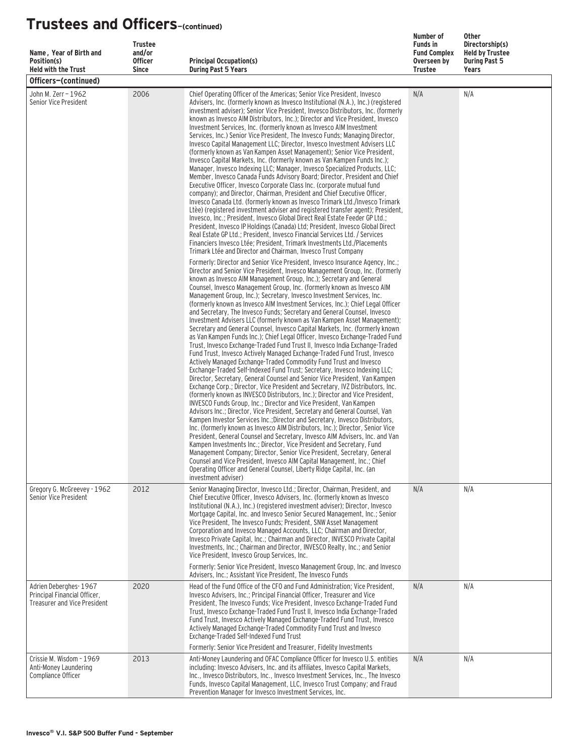| Name, Year of Birth and<br>Position(s)<br><b>Held with the Trust</b>                         | <b>Trustee</b><br>and/or<br><b>Officer</b><br><b>Since</b> | <b>Principal Occupation(s)</b><br><b>During Past 5 Years</b>                                                                                                                                                                                                                                                                                                                                                                                                                                                                                                                                                                                                                                                                                                                                                                                                                                                                                                                                                                                                                                                                                                                                                                                                                                                                                                                                                                                                                                                                                                                                                                                                                                                                                                                                                                                                                                                                                                                                                                                                                                          | Number of<br><b>Funds in</b><br><b>Fund Complex</b><br>Overseen by<br><b>Trustee</b> | <b>Other</b><br>Directorship(s)<br><b>Held by Trustee</b><br><b>During Past 5</b><br>Years |
|----------------------------------------------------------------------------------------------|------------------------------------------------------------|-------------------------------------------------------------------------------------------------------------------------------------------------------------------------------------------------------------------------------------------------------------------------------------------------------------------------------------------------------------------------------------------------------------------------------------------------------------------------------------------------------------------------------------------------------------------------------------------------------------------------------------------------------------------------------------------------------------------------------------------------------------------------------------------------------------------------------------------------------------------------------------------------------------------------------------------------------------------------------------------------------------------------------------------------------------------------------------------------------------------------------------------------------------------------------------------------------------------------------------------------------------------------------------------------------------------------------------------------------------------------------------------------------------------------------------------------------------------------------------------------------------------------------------------------------------------------------------------------------------------------------------------------------------------------------------------------------------------------------------------------------------------------------------------------------------------------------------------------------------------------------------------------------------------------------------------------------------------------------------------------------------------------------------------------------------------------------------------------------|--------------------------------------------------------------------------------------|--------------------------------------------------------------------------------------------|
| Officers-(continued)                                                                         |                                                            |                                                                                                                                                                                                                                                                                                                                                                                                                                                                                                                                                                                                                                                                                                                                                                                                                                                                                                                                                                                                                                                                                                                                                                                                                                                                                                                                                                                                                                                                                                                                                                                                                                                                                                                                                                                                                                                                                                                                                                                                                                                                                                       |                                                                                      |                                                                                            |
| John M. Zerr - 1962<br>Senior Vice President                                                 | 2006                                                       | Chief Operating Officer of the Americas; Senior Vice President, Invesco<br>Advisers, Inc. (formerly known as Invesco Institutional (N.A.), Inc.) (registered<br>investment adviser); Senior Vice President, Invesco Distributors, Inc. (formerly<br>known as Invesco AIM Distributors, Inc.); Director and Vice President, Invesco<br>Investment Services, Inc. (formerly known as Invesco AIM Investment<br>Services, Inc.) Senior Vice President, The Invesco Funds; Managing Director,<br>Invesco Capital Management LLC; Director, Invesco Investment Advisers LLC<br>(formerly known as Van Kampen Asset Management); Senior Vice President,<br>Invesco Capital Markets, Inc. (formerly known as Van Kampen Funds Inc.);<br>Manager, Invesco Indexing LLC; Manager, Invesco Specialized Products, LLC;<br>Member, Invesco Canada Funds Advisory Board; Director, President and Chief<br>Executive Officer, Invesco Corporate Class Inc. (corporate mutual fund<br>company); and Director, Chairman, President and Chief Executive Officer,<br>Invesco Canada Ltd. (formerly known as Invesco Trimark Ltd./Invesco Trimark<br>Ltèe) (registered investment adviser and registered transfer agent); President,<br>Invesco, Inc.; President, Invesco Global Direct Real Estate Feeder GP Ltd.;<br>President, Invesco IP Holdings (Canada) Ltd: President, Invesco Global Direct<br>Real Estate GP Ltd.; President, Invesco Financial Services Ltd. / Services<br>Financiers Invesco Ltée: President, Trimark Investments Ltd./Placements<br>Trimark Ltée and Director and Chairman, Invesco Trust Company                                                                                                                                                                                                                                                                                                                                                                                                                                                                                           | N/A                                                                                  | N/A                                                                                        |
|                                                                                              |                                                            | Formerly: Director and Senior Vice President, Invesco Insurance Agency, Inc.;<br>Director and Senior Vice President, Invesco Management Group, Inc. (formerly<br>known as Invesco AIM Management Group, Inc.); Secretary and General<br>Counsel, Invesco Management Group, Inc. (formerly known as Invesco AIM<br>Management Group, Inc.); Secretary, Invesco Investment Services, Inc.<br>(formerly known as Invesco AIM Investment Services, Inc.); Chief Legal Officer<br>and Secretary, The Invesco Funds; Secretary and General Counsel, Invesco<br>Investment Advisers LLC (formerly known as Van Kampen Asset Management);<br>Secretary and General Counsel, Invesco Capital Markets, Inc. (formerly known<br>as Van Kampen Funds Inc.); Chief Legal Officer, Invesco Exchange-Traded Fund<br>Trust, Invesco Exchange-Traded Fund Trust II, Invesco India Exchange-Traded<br>Fund Trust, Invesco Actively Managed Exchange-Traded Fund Trust, Invesco<br>Actively Managed Exchange-Traded Commodity Fund Trust and Invesco<br>Exchange-Traded Self-Indexed Fund Trust; Secretary, Invesco Indexing LLC;<br>Director, Secretary, General Counsel and Senior Vice President, Van Kampen<br>Exchange Corp.; Director, Vice President and Secretary, IVZ Distributors, Inc.<br>(formerly known as INVESCO Distributors, Inc.); Director and Vice President,<br>INVESCO Funds Group, Inc.; Director and Vice President, Van Kampen<br>Advisors Inc.; Director, Vice President, Secretary and General Counsel, Van<br>Kampen Investor Services Inc.: Director and Secretary, Invesco Distributors.<br>Inc. (formerly known as Invesco AIM Distributors, Inc.); Director, Senior Vice<br>President, General Counsel and Secretary, Invesco AIM Advisers, Inc. and Van<br>Kampen Investments Inc.; Director, Vice President and Secretary, Fund<br>Management Company; Director, Senior Vice President, Secretary, General<br>Counsel and Vice President, Invesco AIM Capital Management, Inc.; Chief<br>Operating Officer and General Counsel, Liberty Ridge Capital, Inc. (an<br>investment adviser) |                                                                                      |                                                                                            |
| Gregory G. McGreevey - 1962<br>Senior Vice President                                         | 2012                                                       | Senior Managing Director, Invesco Ltd.; Director, Chairman, President, and<br>Chief Executive Officer, Invesco Advisers, Inc. (formerly known as Invesco<br>Institutional (N.A.), Inc.) (registered investment adviser); Director, Invesco<br>Mortgage Capital, Inc. and Invesco Senior Secured Management, Inc.; Senior<br>Vice President, The Invesco Funds; President, SNW Asset Management<br>Corporation and Invesco Managed Accounts, LLC; Chairman and Director,<br>Invesco Private Capital, Inc.; Chairman and Director, INVESCO Private Capital<br>Investments, Inc.; Chairman and Director, INVESCO Realty, Inc.; and Senior<br>Vice President, Invesco Group Services, Inc.<br>Formerly: Senior Vice President, Invesco Management Group, Inc. and Invesco                                                                                                                                                                                                                                                                                                                                                                                                                                                                                                                                                                                                                                                                                                                                                                                                                                                                                                                                                                                                                                                                                                                                                                                                                                                                                                                                 | N/A                                                                                  | N/A                                                                                        |
| Adrien Deberghes-1967<br>Principal Financial Officer,<br><b>Treasurer and Vice President</b> | 2020                                                       | Advisers, Inc.; Assistant Vice President, The Invesco Funds<br>Head of the Fund Office of the CFO and Fund Administration; Vice President,<br>Invesco Advisers, Inc.; Principal Financial Officer, Treasurer and Vice<br>President, The Invesco Funds; Vice President, Invesco Exchange-Traded Fund<br>Trust, Invesco Exchange-Traded Fund Trust II, Invesco India Exchange-Traded<br>Fund Trust, Invesco Actively Managed Exchange-Traded Fund Trust, Invesco<br>Actively Managed Exchange-Traded Commodity Fund Trust and Invesco<br>Exchange-Traded Self-Indexed Fund Trust<br>Formerly: Senior Vice President and Treasurer, Fidelity Investments                                                                                                                                                                                                                                                                                                                                                                                                                                                                                                                                                                                                                                                                                                                                                                                                                                                                                                                                                                                                                                                                                                                                                                                                                                                                                                                                                                                                                                                 | N/A                                                                                  | N/A                                                                                        |
| Crissie M. Wisdom - 1969<br>Anti-Money Laundering<br>Compliance Officer                      | 2013                                                       | Anti-Money Laundering and OFAC Compliance Officer for Invesco U.S. entities<br>including: Invesco Advisers, Inc. and its affiliates, Invesco Capital Markets,<br>Inc., Invesco Distributors, Inc., Invesco Investment Services, Inc., The Invesco<br>Funds, Invesco Capital Management, LLC, Invesco Trust Company; and Fraud<br>Prevention Manager for Invesco Investment Services, Inc.                                                                                                                                                                                                                                                                                                                                                                                                                                                                                                                                                                                                                                                                                                                                                                                                                                                                                                                                                                                                                                                                                                                                                                                                                                                                                                                                                                                                                                                                                                                                                                                                                                                                                                             | N/A                                                                                  | N/A                                                                                        |